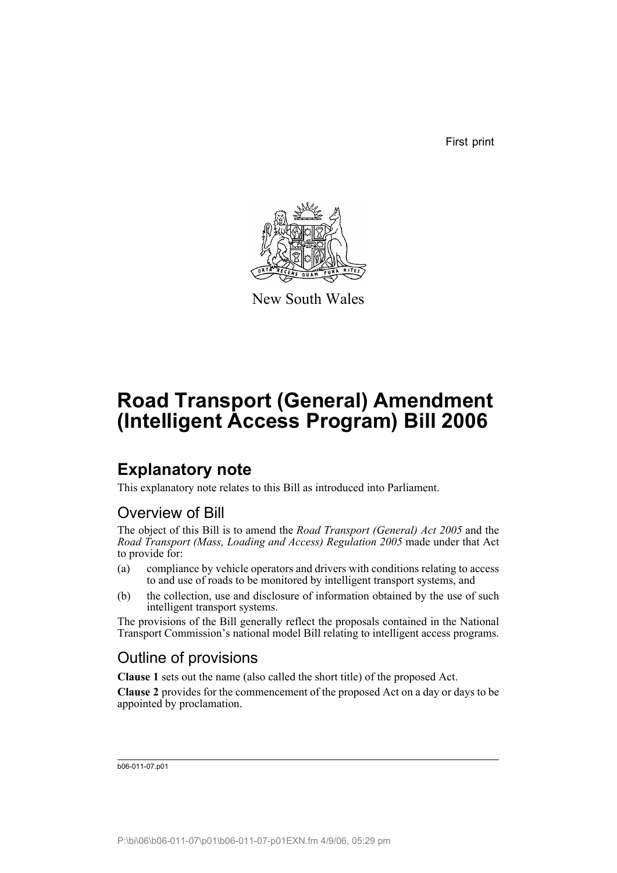First print



New South Wales

# **Road Transport (General) Amendment (Intelligent Access Program) Bill 2006**

# **Explanatory note**

This explanatory note relates to this Bill as introduced into Parliament.

# Overview of Bill

The object of this Bill is to amend the *Road Transport (General) Act 2005* and the *Road Transport (Mass, Loading and Access) Regulation 2005* made under that Act to provide for:

- (a) compliance by vehicle operators and drivers with conditions relating to access to and use of roads to be monitored by intelligent transport systems, and
- (b) the collection, use and disclosure of information obtained by the use of such intelligent transport systems.

The provisions of the Bill generally reflect the proposals contained in the National Transport Commission's national model Bill relating to intelligent access programs.

# Outline of provisions

**Clause 1** sets out the name (also called the short title) of the proposed Act.

**Clause 2** provides for the commencement of the proposed Act on a day or days to be appointed by proclamation.

b06-011-07.p01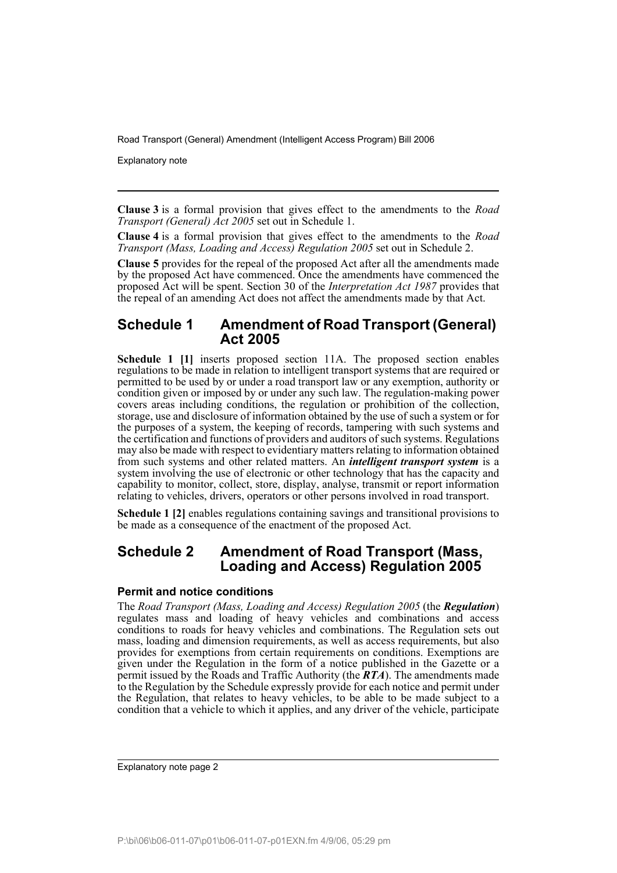Explanatory note

**Clause 3** is a formal provision that gives effect to the amendments to the *Road Transport (General) Act 2005* set out in Schedule 1.

**Clause 4** is a formal provision that gives effect to the amendments to the *Road Transport (Mass, Loading and Access) Regulation 2005* set out in Schedule 2.

**Clause 5** provides for the repeal of the proposed Act after all the amendments made by the proposed Act have commenced. Once the amendments have commenced the proposed Act will be spent. Section 30 of the *Interpretation Act 1987* provides that the repeal of an amending Act does not affect the amendments made by that Act.

# **Schedule 1 Amendment of Road Transport (General) Act 2005**

**Schedule 1 [1]** inserts proposed section 11A. The proposed section enables regulations to be made in relation to intelligent transport systems that are required or permitted to be used by or under a road transport law or any exemption, authority or condition given or imposed by or under any such law. The regulation-making power covers areas including conditions, the regulation or prohibition of the collection, storage, use and disclosure of information obtained by the use of such a system or for the purposes of a system, the keeping of records, tampering with such systems and the certification and functions of providers and auditors of such systems. Regulations may also be made with respect to evidentiary matters relating to information obtained from such systems and other related matters. An *intelligent transport system* is a system involving the use of electronic or other technology that has the capacity and capability to monitor, collect, store, display, analyse, transmit or report information relating to vehicles, drivers, operators or other persons involved in road transport.

**Schedule 1 [2]** enables regulations containing savings and transitional provisions to be made as a consequence of the enactment of the proposed Act.

# **Schedule 2 Amendment of Road Transport (Mass, Loading and Access) Regulation 2005**

## **Permit and notice conditions**

The *Road Transport (Mass, Loading and Access) Regulation 2005* (the *Regulation*) regulates mass and loading of heavy vehicles and combinations and access conditions to roads for heavy vehicles and combinations. The Regulation sets out mass, loading and dimension requirements, as well as access requirements, but also provides for exemptions from certain requirements on conditions. Exemptions are given under the Regulation in the form of a notice published in the Gazette or a permit issued by the Roads and Traffic Authority (the *RTA*). The amendments made to the Regulation by the Schedule expressly provide for each notice and permit under the Regulation, that relates to heavy vehicles, to be able to be made subject to a condition that a vehicle to which it applies, and any driver of the vehicle, participate

Explanatory note page 2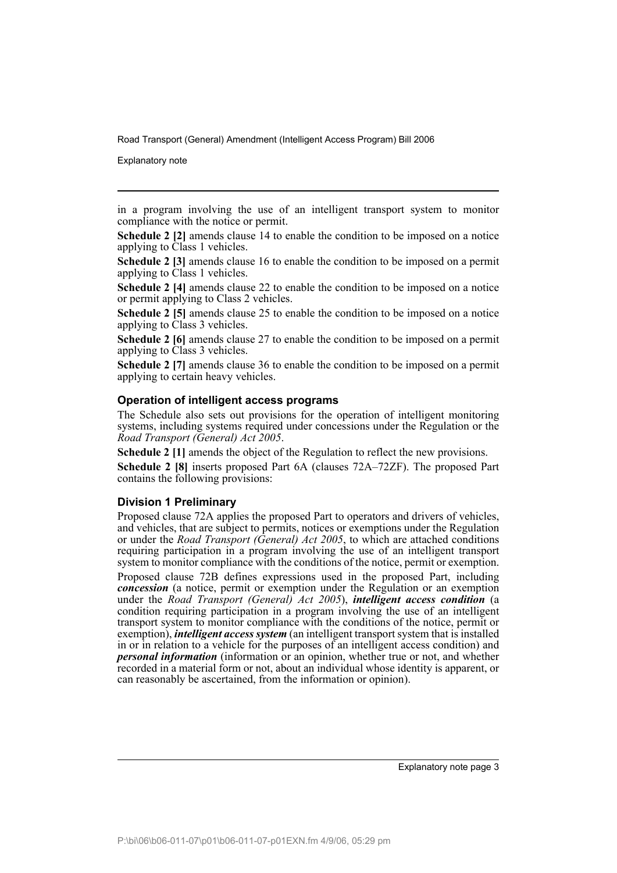Explanatory note

in a program involving the use of an intelligent transport system to monitor compliance with the notice or permit.

**Schedule 2 [2]** amends clause 14 to enable the condition to be imposed on a notice applying to Class 1 vehicles.

**Schedule 2 [3]** amends clause 16 to enable the condition to be imposed on a permit applying to Class 1 vehicles.

**Schedule 2 [4]** amends clause 22 to enable the condition to be imposed on a notice or permit applying to Class 2 vehicles.

**Schedule 2 [5]** amends clause 25 to enable the condition to be imposed on a notice applying to Class 3 vehicles.

**Schedule 2 [6]** amends clause 27 to enable the condition to be imposed on a permit applying to Class 3 vehicles.

**Schedule 2 [7]** amends clause 36 to enable the condition to be imposed on a permit applying to certain heavy vehicles.

## **Operation of intelligent access programs**

The Schedule also sets out provisions for the operation of intelligent monitoring systems, including systems required under concessions under the Regulation or the *Road Transport (General) Act 2005*.

**Schedule 2 [1]** amends the object of the Regulation to reflect the new provisions. **Schedule 2 [8]** inserts proposed Part 6A (clauses 72A–72ZF). The proposed Part contains the following provisions:

### **Division 1 Preliminary**

Proposed clause 72A applies the proposed Part to operators and drivers of vehicles, and vehicles, that are subject to permits, notices or exemptions under the Regulation or under the *Road Transport (General) Act 2005*, to which are attached conditions requiring participation in a program involving the use of an intelligent transport system to monitor compliance with the conditions of the notice, permit or exemption.

Proposed clause 72B defines expressions used in the proposed Part, including *concession* (a notice, permit or exemption under the Regulation or an exemption under the *Road Transport (General) Act 2005*), *intelligent access condition* (a condition requiring participation in a program involving the use of an intelligent transport system to monitor compliance with the conditions of the notice, permit or exemption), *intelligent access system* (an intelligent transport system that is installed in or in relation to a vehicle for the purposes of an intelligent access condition) and *personal information* (information or an opinion, whether true or not, and whether recorded in a material form or not, about an individual whose identity is apparent, or can reasonably be ascertained, from the information or opinion).

Explanatory note page 3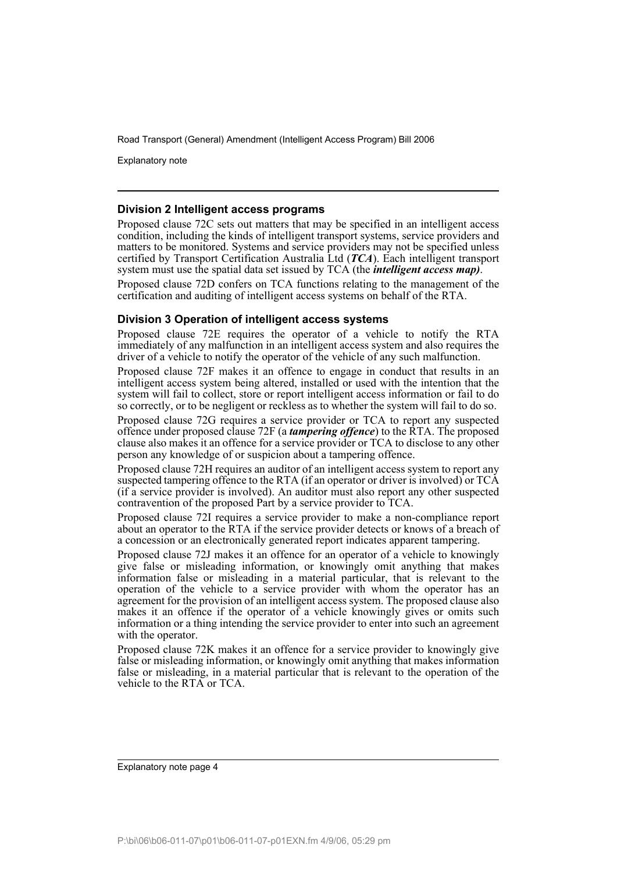Explanatory note

### **Division 2 Intelligent access programs**

Proposed clause 72C sets out matters that may be specified in an intelligent access condition, including the kinds of intelligent transport systems, service providers and matters to be monitored. Systems and service providers may not be specified unless certified by Transport Certification Australia Ltd (*TCA*). Each intelligent transport system must use the spatial data set issued by TCA (the *intelligent access map)*.

Proposed clause 72D confers on TCA functions relating to the management of the certification and auditing of intelligent access systems on behalf of the RTA.

### **Division 3 Operation of intelligent access systems**

Proposed clause 72E requires the operator of a vehicle to notify the RTA immediately of any malfunction in an intelligent access system and also requires the driver of a vehicle to notify the operator of the vehicle of any such malfunction.

Proposed clause 72F makes it an offence to engage in conduct that results in an intelligent access system being altered, installed or used with the intention that the system will fail to collect, store or report intelligent access information or fail to do so correctly, or to be negligent or reckless as to whether the system will fail to do so.

Proposed clause 72G requires a service provider or TCA to report any suspected offence under proposed clause 72F (a *tampering offence*) to the RTA. The proposed clause also makes it an offence for a service provider or TCA to disclose to any other person any knowledge of or suspicion about a tampering offence.

Proposed clause 72H requires an auditor of an intelligent access system to report any suspected tampering offence to the RTA (if an operator or driver is involved) or TCA (if a service provider is involved). An auditor must also report any other suspected contravention of the proposed Part by a service provider to TCA.

Proposed clause 72I requires a service provider to make a non-compliance report about an operator to the RTA if the service provider detects or knows of a breach of a concession or an electronically generated report indicates apparent tampering.

Proposed clause 72J makes it an offence for an operator of a vehicle to knowingly give false or misleading information, or knowingly omit anything that makes information false or misleading in a material particular, that is relevant to the operation of the vehicle to a service provider with whom the operator has an agreement for the provision of an intelligent access system. The proposed clause also makes it an offence if the operator of a vehicle knowingly gives or omits such information or a thing intending the service provider to enter into such an agreement with the operator.

Proposed clause 72K makes it an offence for a service provider to knowingly give false or misleading information, or knowingly omit anything that makes information false or misleading, in a material particular that is relevant to the operation of the vehicle to the RTA or TCA.

Explanatory note page 4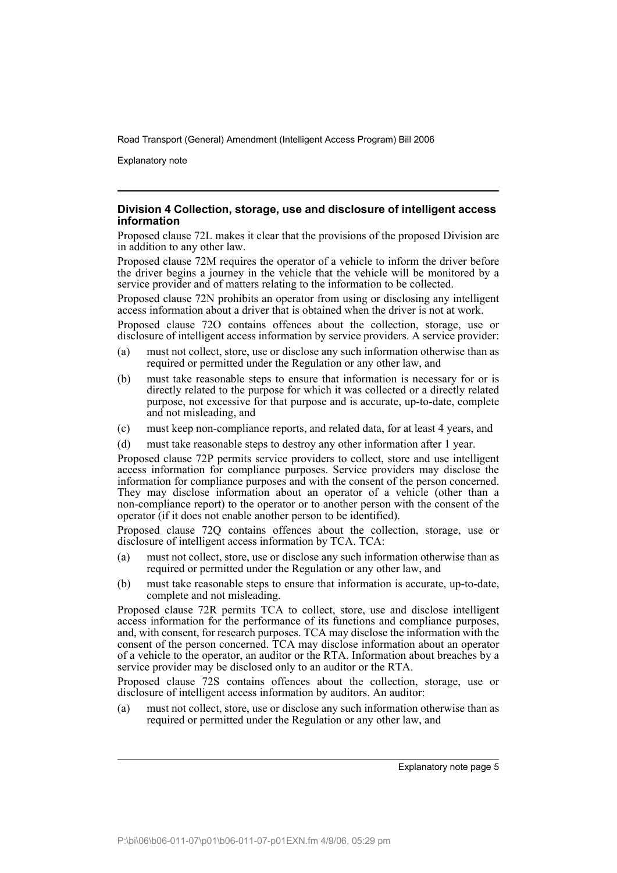Explanatory note

## **Division 4 Collection, storage, use and disclosure of intelligent access information**

Proposed clause 72L makes it clear that the provisions of the proposed Division are in addition to any other law.

Proposed clause 72M requires the operator of a vehicle to inform the driver before the driver begins a journey in the vehicle that the vehicle will be monitored by a service provider and of matters relating to the information to be collected.

Proposed clause 72N prohibits an operator from using or disclosing any intelligent access information about a driver that is obtained when the driver is not at work.

Proposed clause 72O contains offences about the collection, storage, use or disclosure of intelligent access information by service providers. A service provider:

- (a) must not collect, store, use or disclose any such information otherwise than as required or permitted under the Regulation or any other law, and
- (b) must take reasonable steps to ensure that information is necessary for or is directly related to the purpose for which it was collected or a directly related purpose, not excessive for that purpose and is accurate, up-to-date, complete and not misleading, and
- (c) must keep non-compliance reports, and related data, for at least 4 years, and
- (d) must take reasonable steps to destroy any other information after 1 year.

Proposed clause 72P permits service providers to collect, store and use intelligent access information for compliance purposes. Service providers may disclose the information for compliance purposes and with the consent of the person concerned. They may disclose information about an operator of a vehicle (other than a non-compliance report) to the operator or to another person with the consent of the operator (if it does not enable another person to be identified).

Proposed clause 72Q contains offences about the collection, storage, use or disclosure of intelligent access information by TCA. TCA:

- (a) must not collect, store, use or disclose any such information otherwise than as required or permitted under the Regulation or any other law, and
- (b) must take reasonable steps to ensure that information is accurate, up-to-date, complete and not misleading.

Proposed clause 72R permits TCA to collect, store, use and disclose intelligent access information for the performance of its functions and compliance purposes, and, with consent, for research purposes. TCA may disclose the information with the consent of the person concerned. TCA may disclose information about an operator of a vehicle to the operator, an auditor or the RTA. Information about breaches by a service provider may be disclosed only to an auditor or the RTA.

Proposed clause 72S contains offences about the collection, storage, use or disclosure of intelligent access information by auditors. An auditor:

(a) must not collect, store, use or disclose any such information otherwise than as required or permitted under the Regulation or any other law, and

Explanatory note page 5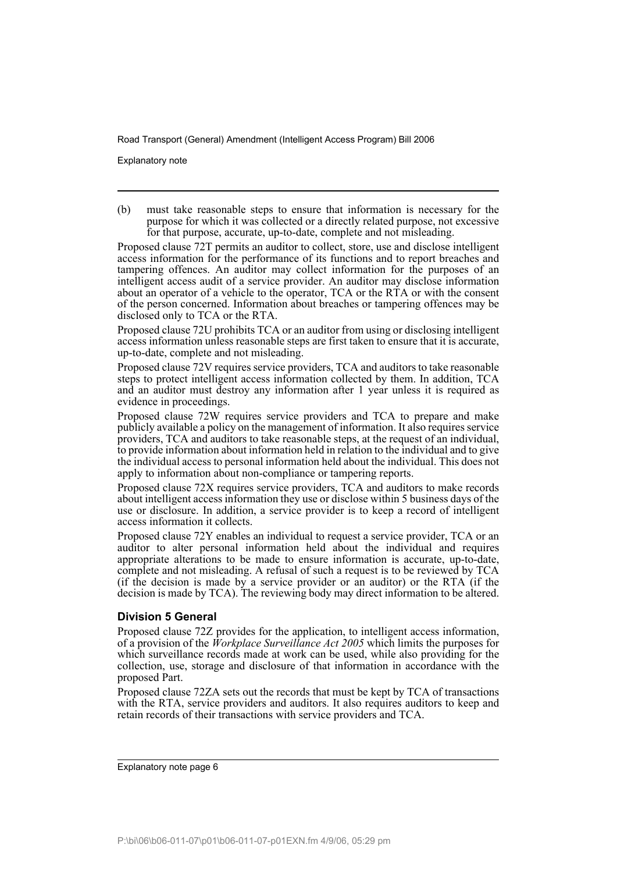Explanatory note

(b) must take reasonable steps to ensure that information is necessary for the purpose for which it was collected or a directly related purpose, not excessive for that purpose, accurate, up-to-date, complete and not misleading.

Proposed clause 72T permits an auditor to collect, store, use and disclose intelligent access information for the performance of its functions and to report breaches and tampering offences. An auditor may collect information for the purposes of an intelligent access audit of a service provider. An auditor may disclose information about an operator of a vehicle to the operator, TCA or the RTA or with the consent of the person concerned. Information about breaches or tampering offences may be disclosed only to TCA or the RTA.

Proposed clause 72U prohibits TCA or an auditor from using or disclosing intelligent access information unless reasonable steps are first taken to ensure that it is accurate, up-to-date, complete and not misleading.

Proposed clause 72V requires service providers, TCA and auditors to take reasonable steps to protect intelligent access information collected by them. In addition, TCA and an auditor must destroy any information after 1 year unless it is required as evidence in proceedings.

Proposed clause 72W requires service providers and TCA to prepare and make publicly available a policy on the management of information. It also requires service providers, TCA and auditors to take reasonable steps, at the request of an individual, to provide information about information held in relation to the individual and to give the individual access to personal information held about the individual. This does not apply to information about non-compliance or tampering reports.

Proposed clause 72X requires service providers, TCA and auditors to make records about intelligent access information they use or disclose within 5 business days of the use or disclosure. In addition, a service provider is to keep a record of intelligent access information it collects.

Proposed clause 72Y enables an individual to request a service provider, TCA or an auditor to alter personal information held about the individual and requires appropriate alterations to be made to ensure information is accurate, up-to-date, complete and not misleading. A refusal of such a request is to be reviewed by TCA (if the decision is made by a service provider or an auditor) or the RTA (if the decision is made by TCA). The reviewing body may direct information to be altered.

# **Division 5 General**

Proposed clause 72Z provides for the application, to intelligent access information, of a provision of the *Workplace Surveillance Act 2005* which limits the purposes for which surveillance records made at work can be used, while also providing for the collection, use, storage and disclosure of that information in accordance with the proposed Part.

Proposed clause 72ZA sets out the records that must be kept by TCA of transactions with the RTA, service providers and auditors. It also requires auditors to keep and retain records of their transactions with service providers and TCA.

Explanatory note page 6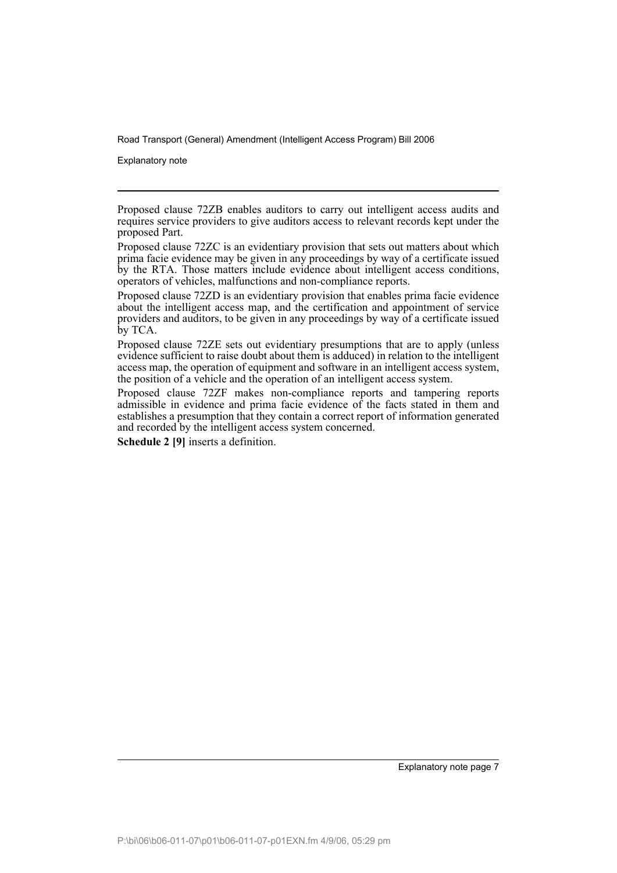Explanatory note

Proposed clause 72ZB enables auditors to carry out intelligent access audits and requires service providers to give auditors access to relevant records kept under the proposed Part.

Proposed clause 72ZE sets out evidentiary presumptions that are to apply (unless evidence sufficient to raise doubt about them is adduced) in relation to the intelligent access map, the operation of equipment and software in an intelligent access system, the position of a vehicle and the operation of an intelligent access system.

Proposed clause 72ZF makes non-compliance reports and tampering reports admissible in evidence and prima facie evidence of the facts stated in them and establishes a presumption that they contain a correct report of information generated and recorded by the intelligent access system concerned.

**Schedule 2 [9]** inserts a definition.

Explanatory note page 7

Proposed clause 72ZC is an evidentiary provision that sets out matters about which prima facie evidence may be given in any proceedings by way of a certificate issued by the RTA. Those matters include evidence about intelligent access conditions, operators of vehicles, malfunctions and non-compliance reports.

Proposed clause 72ZD is an evidentiary provision that enables prima facie evidence about the intelligent access map, and the certification and appointment of service providers and auditors, to be given in any proceedings by way of a certificate issued by TCA.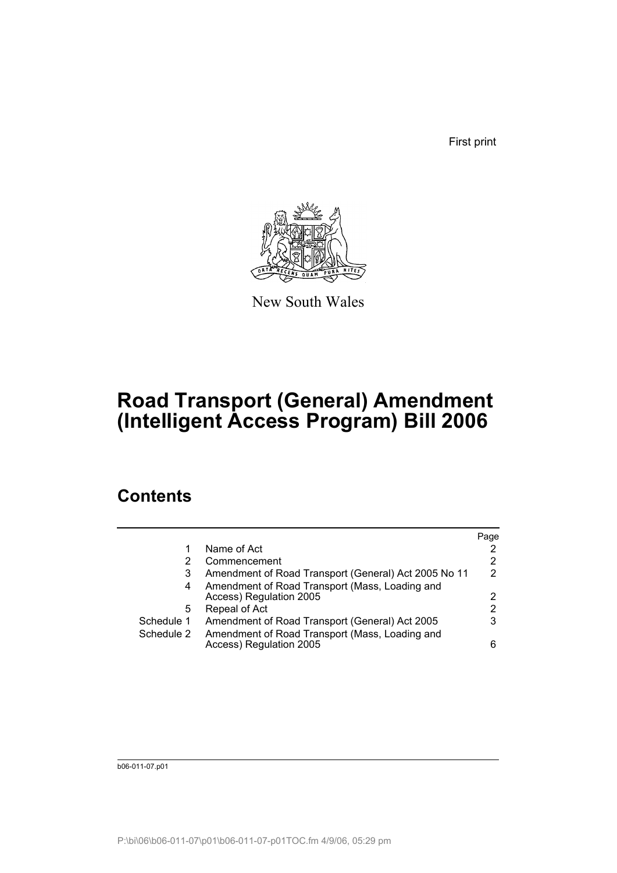First print



New South Wales

# **Road Transport (General) Amendment (Intelligent Access Program) Bill 2006**

# **Contents**

|            |                                                                           | Page |
|------------|---------------------------------------------------------------------------|------|
|            | Name of Act                                                               |      |
|            | Commencement                                                              | 2    |
| 3          | Amendment of Road Transport (General) Act 2005 No 11                      | 2    |
| 4          | Amendment of Road Transport (Mass, Loading and<br>Access) Regulation 2005 | 2    |
| 5          | Repeal of Act                                                             | 2    |
| Schedule 1 | Amendment of Road Transport (General) Act 2005                            | 3    |
| Schedule 2 | Amendment of Road Transport (Mass, Loading and<br>Access) Regulation 2005 | 6    |

b06-011-07.p01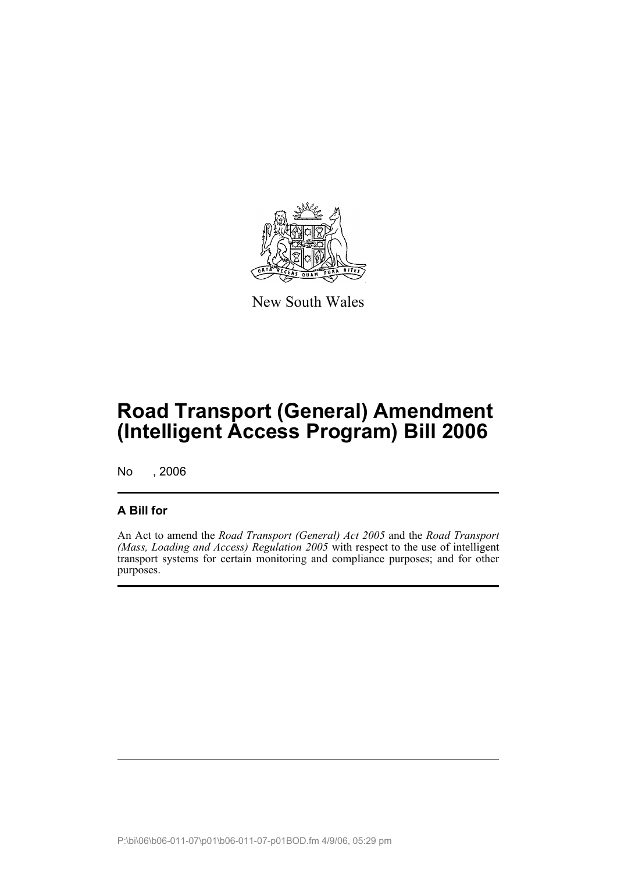

New South Wales

# **Road Transport (General) Amendment (Intelligent Access Program) Bill 2006**

No , 2006

# **A Bill for**

An Act to amend the *Road Transport (General) Act 2005* and the *Road Transport (Mass, Loading and Access) Regulation 2005* with respect to the use of intelligent transport systems for certain monitoring and compliance purposes; and for other purposes.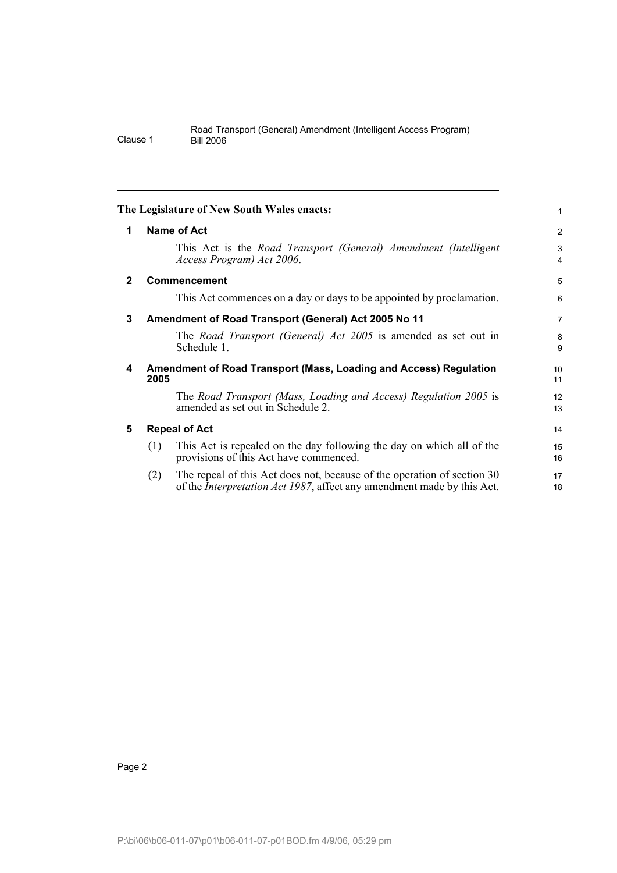<span id="page-11-4"></span><span id="page-11-3"></span><span id="page-11-2"></span><span id="page-11-1"></span><span id="page-11-0"></span>

|              |      | The Legislature of New South Wales enacts:                                                                                                                | $\mathbf{1}$        |
|--------------|------|-----------------------------------------------------------------------------------------------------------------------------------------------------------|---------------------|
| 1            |      | Name of Act                                                                                                                                               | $\overline{2}$      |
|              |      | This Act is the Road Transport (General) Amendment (Intelligent<br>Access Program) Act 2006.                                                              | 3<br>$\overline{4}$ |
| $\mathbf{2}$ |      | <b>Commencement</b>                                                                                                                                       | 5                   |
|              |      | This Act commences on a day or days to be appointed by proclamation.                                                                                      | 6                   |
| 3            |      | Amendment of Road Transport (General) Act 2005 No 11                                                                                                      | $\overline{7}$      |
|              |      | The <i>Road Transport (General) Act 2005</i> is amended as set out in<br>Schedule 1.                                                                      | 8<br>9              |
| 4            | 2005 | Amendment of Road Transport (Mass, Loading and Access) Regulation                                                                                         | 10<br>11            |
|              |      | The Road Transport (Mass, Loading and Access) Regulation 2005 is<br>amended as set out in Schedule 2.                                                     | 12<br>13            |
| 5            |      | <b>Repeal of Act</b>                                                                                                                                      | 14                  |
|              | (1)  | This Act is repealed on the day following the day on which all of the<br>provisions of this Act have commenced.                                           | 15<br>16            |
|              | (2)  | The repeal of this Act does not, because of the operation of section 30<br>of the <i>Interpretation Act 1987</i> , affect any amendment made by this Act. | 17<br>18            |
|              |      |                                                                                                                                                           |                     |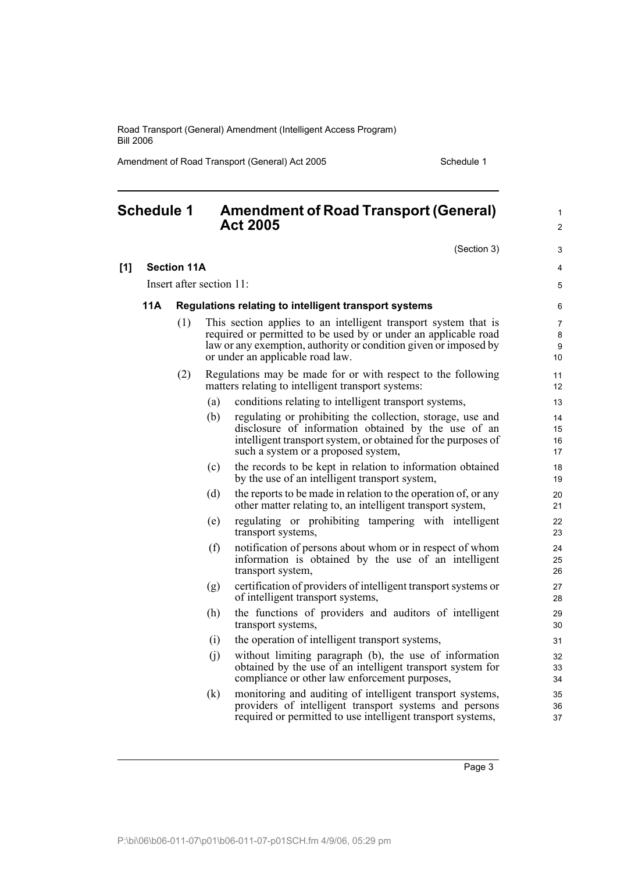Amendment of Road Transport (General) Act 2005 Schedule 1

<span id="page-12-0"></span>

| <b>Schedule 1</b> |     |                          | <b>Amendment of Road Transport (General)</b><br><b>Act 2005</b> | $\mathbf{1}$<br>$\overline{2}$                                                                                                                                                                                                             |                      |
|-------------------|-----|--------------------------|-----------------------------------------------------------------|--------------------------------------------------------------------------------------------------------------------------------------------------------------------------------------------------------------------------------------------|----------------------|
|                   |     |                          |                                                                 | (Section 3)                                                                                                                                                                                                                                | 3                    |
| [1]               |     | <b>Section 11A</b>       |                                                                 |                                                                                                                                                                                                                                            | $\overline{4}$       |
|                   |     | Insert after section 11: |                                                                 |                                                                                                                                                                                                                                            | 5                    |
|                   | 11A |                          |                                                                 | Regulations relating to intelligent transport systems                                                                                                                                                                                      | 6                    |
|                   |     | (1)                      |                                                                 | This section applies to an intelligent transport system that is<br>required or permitted to be used by or under an applicable road<br>law or any exemption, authority or condition given or imposed by<br>or under an applicable road law. | 7<br>8<br>9<br>10    |
|                   |     | (2)                      |                                                                 | Regulations may be made for or with respect to the following<br>matters relating to intelligent transport systems:                                                                                                                         | 11<br>12             |
|                   |     |                          | (a)                                                             | conditions relating to intelligent transport systems,                                                                                                                                                                                      | 13                   |
|                   |     |                          | (b)                                                             | regulating or prohibiting the collection, storage, use and<br>disclosure of information obtained by the use of an<br>intelligent transport system, or obtained for the purposes of<br>such a system or a proposed system,                  | 14<br>15<br>16<br>17 |
|                   |     |                          | (c)                                                             | the records to be kept in relation to information obtained<br>by the use of an intelligent transport system,                                                                                                                               | 18<br>19             |
|                   |     |                          | (d)                                                             | the reports to be made in relation to the operation of, or any<br>other matter relating to, an intelligent transport system,                                                                                                               | 20<br>21             |
|                   |     |                          | (e)                                                             | regulating or prohibiting tampering with intelligent<br>transport systems,                                                                                                                                                                 | 22<br>23             |
|                   |     |                          | (f)                                                             | notification of persons about whom or in respect of whom<br>information is obtained by the use of an intelligent<br>transport system,                                                                                                      | 24<br>25<br>26       |
|                   |     |                          | (g)                                                             | certification of providers of intelligent transport systems or<br>of intelligent transport systems,                                                                                                                                        | 27<br>28             |
|                   |     |                          | (h)                                                             | the functions of providers and auditors of intelligent<br>transport systems,                                                                                                                                                               | 29<br>30             |
|                   |     |                          | (i)                                                             | the operation of intelligent transport systems,                                                                                                                                                                                            | 31                   |
|                   |     |                          | (j)                                                             | without limiting paragraph (b), the use of information<br>obtained by the use of an intelligent transport system for<br>compliance or other law enforcement purposes,                                                                      | 32<br>33<br>34       |
|                   |     |                          | (k)                                                             | monitoring and auditing of intelligent transport systems,<br>providers of intelligent transport systems and persons<br>required or permitted to use intelligent transport systems,                                                         | 35<br>36<br>37       |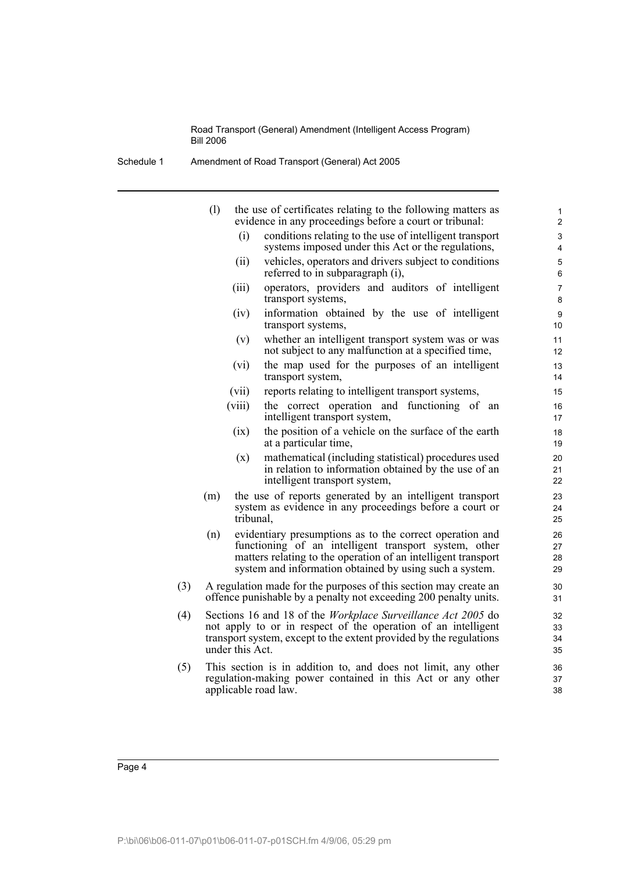Schedule 1 Amendment of Road Transport (General) Act 2005

|     | (1) | the use of certificates relating to the following matters as<br>evidence in any proceedings before a court or tribunal:                                                                                                                       | $\mathbf{1}$<br>2      |
|-----|-----|-----------------------------------------------------------------------------------------------------------------------------------------------------------------------------------------------------------------------------------------------|------------------------|
|     |     | conditions relating to the use of intelligent transport<br>(i)<br>systems imposed under this Act or the regulations,                                                                                                                          | 3<br>4                 |
|     |     | vehicles, operators and drivers subject to conditions<br>(ii)<br>referred to in subparagraph (i),                                                                                                                                             | 5<br>6                 |
|     |     | operators, providers and auditors of intelligent<br>(iii)<br>transport systems,                                                                                                                                                               | $\overline{7}$<br>8    |
|     |     | (iv)<br>information obtained by the use of intelligent<br>transport systems,                                                                                                                                                                  | $\boldsymbol{9}$<br>10 |
|     |     | whether an intelligent transport system was or was<br>(v)<br>not subject to any malfunction at a specified time,                                                                                                                              | 11<br>12               |
|     |     | the map used for the purposes of an intelligent<br>(vi)<br>transport system,                                                                                                                                                                  | 13<br>14               |
|     |     | reports relating to intelligent transport systems,<br>(vii)                                                                                                                                                                                   | 15                     |
|     |     | the correct operation and functioning of an<br>(viii)<br>intelligent transport system,                                                                                                                                                        | 16<br>17               |
|     |     | the position of a vehicle on the surface of the earth<br>(ix)<br>at a particular time,                                                                                                                                                        | 18<br>19               |
|     |     | mathematical (including statistical) procedures used<br>(x)<br>in relation to information obtained by the use of an<br>intelligent transport system,                                                                                          | 20<br>21<br>22         |
|     | (m) | the use of reports generated by an intelligent transport<br>system as evidence in any proceedings before a court or<br>tribunal,                                                                                                              | 23<br>24<br>25         |
|     | (n) | evidentiary presumptions as to the correct operation and<br>functioning of an intelligent transport system, other<br>matters relating to the operation of an intelligent transport<br>system and information obtained by using such a system. | 26<br>27<br>28<br>29   |
| (3) |     | A regulation made for the purposes of this section may create an<br>offence punishable by a penalty not exceeding 200 penalty units.                                                                                                          | 30<br>31               |
| (4) |     | Sections 16 and 18 of the <i>Workplace Surveillance Act 2005</i> do<br>not apply to or in respect of the operation of an intelligent<br>transport system, except to the extent provided by the regulations<br>under this Act.                 | 32<br>33<br>34<br>35   |
| (5) |     | This section is in addition to, and does not limit, any other<br>regulation-making power contained in this Act or any other<br>applicable road law.                                                                                           | 36<br>37<br>38         |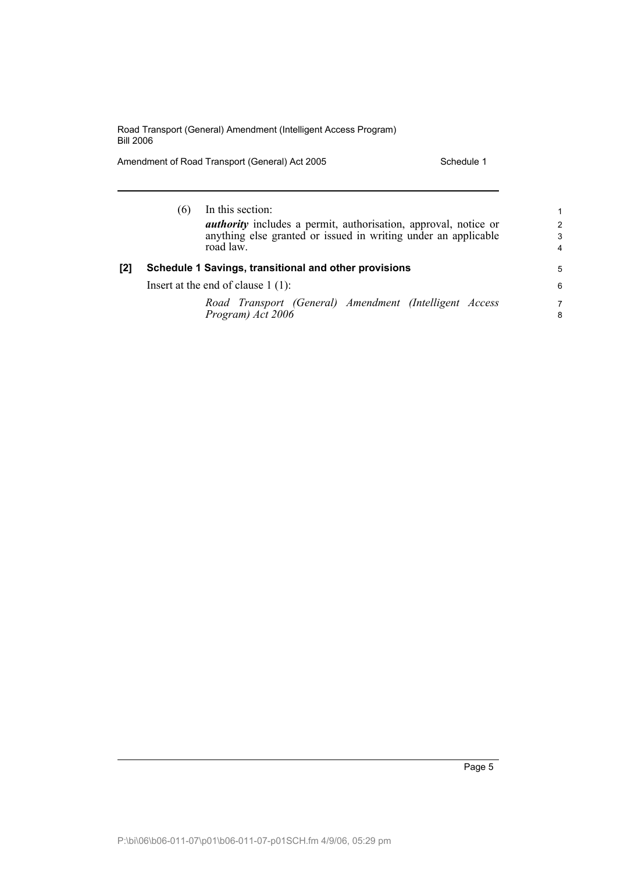Amendment of Road Transport (General) Act 2005 Schedule 1

|     | In this section:<br>(6)<br><i>authority</i> includes a permit, authorisation, approval, notice or<br>anything else granted or issued in writing under an applicable<br>road law. | 1<br>$\mathcal{P}$<br>3<br>4 |
|-----|----------------------------------------------------------------------------------------------------------------------------------------------------------------------------------|------------------------------|
| [2] | Schedule 1 Savings, transitional and other provisions                                                                                                                            | 5                            |
|     | Insert at the end of clause $1(1)$ :                                                                                                                                             | 6                            |
|     | Road Transport (General) Amendment (Intelligent Access<br>Program) Act 2006                                                                                                      | 7<br>8                       |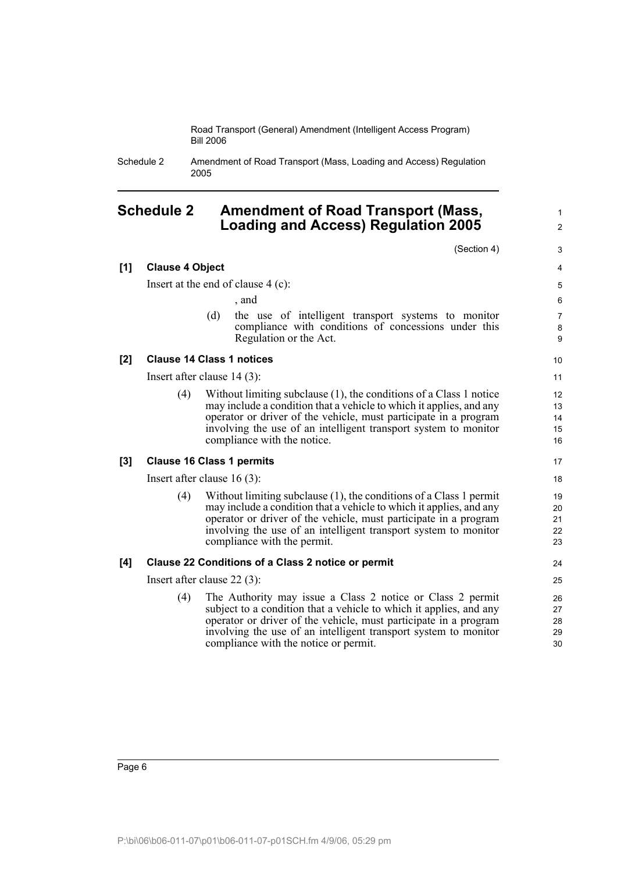Schedule 2 Amendment of Road Transport (Mass, Loading and Access) Regulation 2005

# <span id="page-15-0"></span>**Schedule 2 Amendment of Road Transport (Mass, Loading and Access) Regulation 2005**

(Section 4)

1  $\mathfrak{p}$ 

**[1] Clause 4 Object** Insert at the end of clause 4 (c): , and (d) the use of intelligent transport systems to monitor compliance with conditions of concessions under this Regulation or the Act. **[2] Clause 14 Class 1 notices** Insert after clause 14 (3): (4) Without limiting subclause (1), the conditions of a Class 1 notice may include a condition that a vehicle to which it applies, and any operator or driver of the vehicle, must participate in a program involving the use of an intelligent transport system to monitor compliance with the notice. **[3] Clause 16 Class 1 permits** Insert after clause 16 (3): (4) Without limiting subclause (1), the conditions of a Class 1 permit may include a condition that a vehicle to which it applies, and any operator or driver of the vehicle, must participate in a program involving the use of an intelligent transport system to monitor compliance with the permit. **[4] Clause 22 Conditions of a Class 2 notice or permit** Insert after clause 22 (3): (4) The Authority may issue a Class 2 notice or Class 2 permit subject to a condition that a vehicle to which it applies, and any operator or driver of the vehicle, must participate in a program involving the use of an intelligent transport system to monitor compliance with the notice or permit. 3 4 5 6 7 8 **9** 10 11 12 13  $14$ 15 16 17 18 19  $20$ 21 22 23 24 25 26 27 28 29 30

Page 6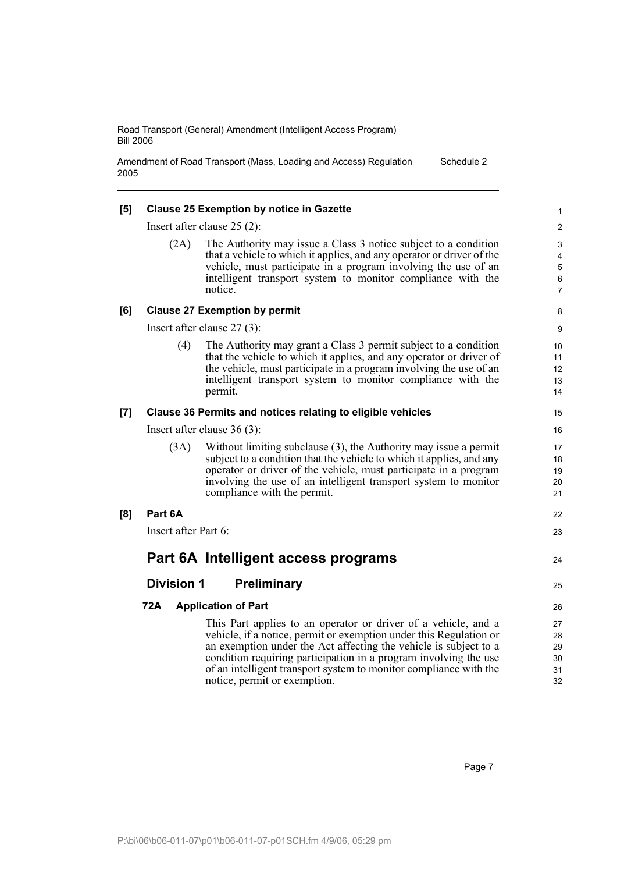Amendment of Road Transport (Mass, Loading and Access) Regulation 2005 Schedule 2

| [5] |                      | <b>Clause 25 Exemption by notice in Gazette</b>                                                                                                                                                                                                                                                                                                                                   | 1                                  |
|-----|----------------------|-----------------------------------------------------------------------------------------------------------------------------------------------------------------------------------------------------------------------------------------------------------------------------------------------------------------------------------------------------------------------------------|------------------------------------|
|     |                      | Insert after clause $25(2)$ :                                                                                                                                                                                                                                                                                                                                                     | 2                                  |
|     | (2A)                 | The Authority may issue a Class 3 notice subject to a condition<br>that a vehicle to which it applies, and any operator or driver of the<br>vehicle, must participate in a program involving the use of an<br>intelligent transport system to monitor compliance with the<br>notice.                                                                                              | 3<br>4<br>5<br>6<br>$\overline{7}$ |
| [6] |                      | <b>Clause 27 Exemption by permit</b>                                                                                                                                                                                                                                                                                                                                              | 8                                  |
|     |                      | Insert after clause $27(3)$ :                                                                                                                                                                                                                                                                                                                                                     | 9                                  |
|     | (4)                  | The Authority may grant a Class 3 permit subject to a condition<br>that the vehicle to which it applies, and any operator or driver of<br>the vehicle, must participate in a program involving the use of an<br>intelligent transport system to monitor compliance with the<br>permit.                                                                                            | 10<br>11<br>12<br>13<br>14         |
| [7] |                      | Clause 36 Permits and notices relating to eligible vehicles                                                                                                                                                                                                                                                                                                                       | 15                                 |
|     |                      | Insert after clause $36(3)$ :                                                                                                                                                                                                                                                                                                                                                     | 16                                 |
|     | (3A)                 | Without limiting subclause (3), the Authority may issue a permit<br>subject to a condition that the vehicle to which it applies, and any<br>operator or driver of the vehicle, must participate in a program<br>involving the use of an intelligent transport system to monitor<br>compliance with the permit.                                                                    | 17<br>18<br>19<br>20<br>21         |
| [8] | Part 6A              |                                                                                                                                                                                                                                                                                                                                                                                   | 22                                 |
|     | Insert after Part 6: |                                                                                                                                                                                                                                                                                                                                                                                   | 23                                 |
|     |                      | Part 6A Intelligent access programs                                                                                                                                                                                                                                                                                                                                               | 24                                 |
|     | <b>Division 1</b>    | <b>Preliminary</b>                                                                                                                                                                                                                                                                                                                                                                | 25                                 |
|     | <b>72A</b>           | <b>Application of Part</b>                                                                                                                                                                                                                                                                                                                                                        | 26                                 |
|     |                      | This Part applies to an operator or driver of a vehicle, and a<br>vehicle, if a notice, permit or exemption under this Regulation or<br>an exemption under the Act affecting the vehicle is subject to a<br>condition requiring participation in a program involving the use<br>of an intelligent transport system to monitor compliance with the<br>notice, permit or exemption. | 27<br>28<br>29<br>30<br>31<br>32   |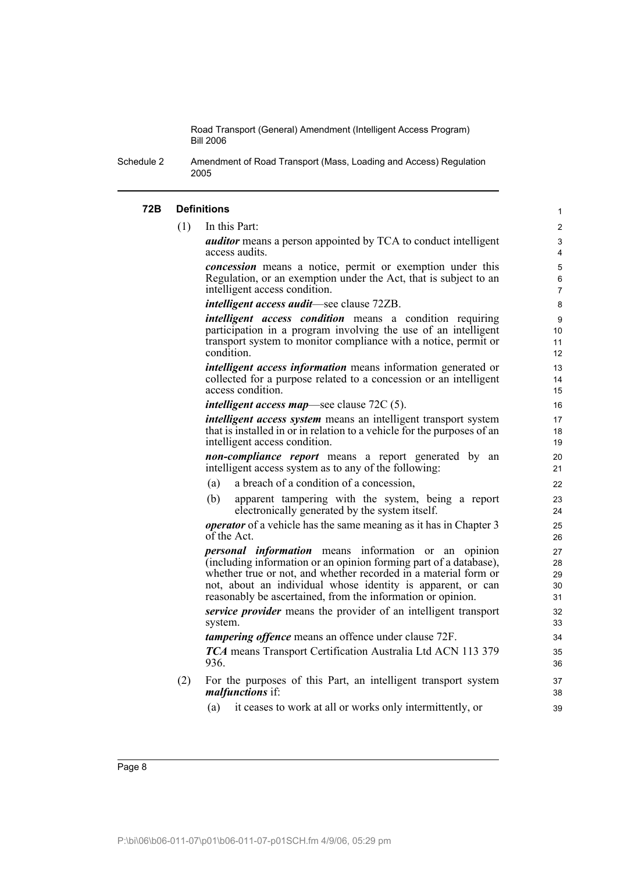Schedule 2 Amendment of Road Transport (Mass, Loading and Access) Regulation 2005

### **72B Definitions**

(1) In this Part:

*auditor* means a person appointed by TCA to conduct intelligent access audits.

*concession* means a notice, permit or exemption under this Regulation, or an exemption under the Act, that is subject to an intelligent access condition.

*intelligent access audit*—see clause 72ZB.

*intelligent access condition* means a condition requiring participation in a program involving the use of an intelligent transport system to monitor compliance with a notice, permit or condition.

*intelligent access information* means information generated or collected for a purpose related to a concession or an intelligent access condition.

*intelligent access map*—see clause 72C (5).

*intelligent access system* means an intelligent transport system that is installed in or in relation to a vehicle for the purposes of an intelligent access condition.

*non-compliance report* means a report generated by an intelligent access system as to any of the following:

- (a) a breach of a condition of a concession,
- (b) apparent tampering with the system, being a report electronically generated by the system itself.

*operator* of a vehicle has the same meaning as it has in Chapter 3 of the Act.

*personal information* means information or an opinion (including information or an opinion forming part of a database), whether true or not, and whether recorded in a material form or not, about an individual whose identity is apparent, or can reasonably be ascertained, from the information or opinion.

*service provider* means the provider of an intelligent transport system.

*tampering offence* means an offence under clause 72F.

*TCA* means Transport Certification Australia Ltd ACN 113 379 936.

- (2) For the purposes of this Part, an intelligent transport system *malfunctions* if:
	- (a) it ceases to work at all or works only intermittently, or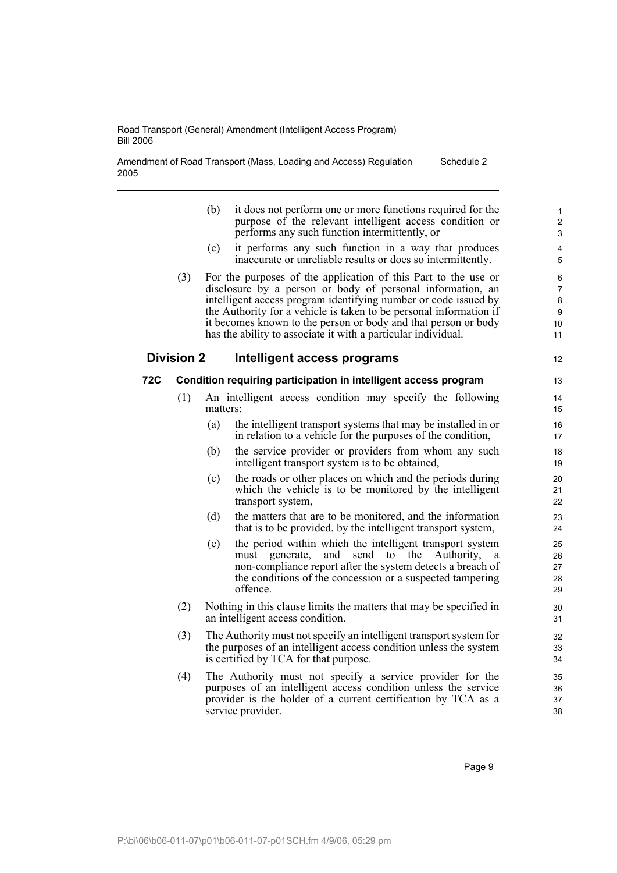Amendment of Road Transport (Mass, Loading and Access) Regulation 2005 Schedule 2

|     |                   | (b)      | it does not perform one or more functions required for the<br>purpose of the relevant intelligent access condition or<br>performs any such function intermittently, or                                                                                                                                                                                                                                   | $\mathbf{1}$<br>2<br>3                    |
|-----|-------------------|----------|----------------------------------------------------------------------------------------------------------------------------------------------------------------------------------------------------------------------------------------------------------------------------------------------------------------------------------------------------------------------------------------------------------|-------------------------------------------|
|     |                   | (c)      | it performs any such function in a way that produces<br>inaccurate or unreliable results or does so intermittently.                                                                                                                                                                                                                                                                                      | $\overline{4}$<br>5                       |
|     | (3)               |          | For the purposes of the application of this Part to the use or<br>disclosure by a person or body of personal information, an<br>intelligent access program identifying number or code issued by<br>the Authority for a vehicle is taken to be personal information if<br>it becomes known to the person or body and that person or body<br>has the ability to associate it with a particular individual. | 6<br>$\overline{7}$<br>8<br>9<br>10<br>11 |
|     | <b>Division 2</b> |          | Intelligent access programs                                                                                                                                                                                                                                                                                                                                                                              | $12 \overline{ }$                         |
| 72C |                   |          | Condition requiring participation in intelligent access program                                                                                                                                                                                                                                                                                                                                          | 13                                        |
|     | (1)               | matters: | An intelligent access condition may specify the following                                                                                                                                                                                                                                                                                                                                                | 14<br>15                                  |
|     |                   | (a)      | the intelligent transport systems that may be installed in or<br>in relation to a vehicle for the purposes of the condition,                                                                                                                                                                                                                                                                             | 16<br>17                                  |
|     |                   | (b)      | the service provider or providers from whom any such<br>intelligent transport system is to be obtained,                                                                                                                                                                                                                                                                                                  | 18<br>19                                  |
|     |                   | (c)      | the roads or other places on which and the periods during<br>which the vehicle is to be monitored by the intelligent<br>transport system,                                                                                                                                                                                                                                                                | 20<br>21<br>22                            |
|     |                   | (d)      | the matters that are to be monitored, and the information<br>that is to be provided, by the intelligent transport system,                                                                                                                                                                                                                                                                                | 23<br>24                                  |
|     |                   | (e)      | the period within which the intelligent transport system<br>send to<br>the<br>generate,<br>and<br>Authority,<br>must<br>a<br>non-compliance report after the system detects a breach of<br>the conditions of the concession or a suspected tampering<br>offence.                                                                                                                                         | 25<br>26<br>27<br>28<br>29                |
|     | (2)               |          | Nothing in this clause limits the matters that may be specified in<br>an intelligent access condition.                                                                                                                                                                                                                                                                                                   | 30<br>31                                  |
|     | (3)               |          | The Authority must not specify an intelligent transport system for<br>the purposes of an intelligent access condition unless the system<br>is certified by TCA for that purpose.                                                                                                                                                                                                                         | 32<br>33<br>34                            |
|     | (4)               |          | The Authority must not specify a service provider for the<br>purposes of an intelligent access condition unless the service<br>provider is the holder of a current certification by TCA as a<br>service provider.                                                                                                                                                                                        | 35<br>36<br>37<br>38                      |

Page 9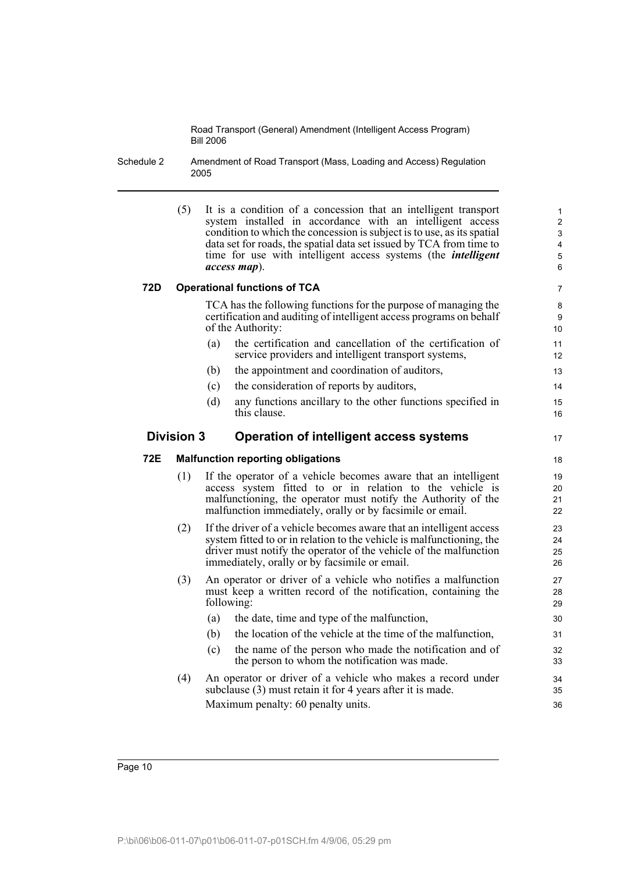Schedule 2 Amendment of Road Transport (Mass, Loading and Access) Regulation 2005

| (5) | It is a condition of a concession that an intelligent transport        |
|-----|------------------------------------------------------------------------|
|     | system installed in accordance with an intelligent access              |
|     | condition to which the concession is subject is to use, as its spatial |
|     | data set for roads, the spatial data set issued by TCA from time to    |
|     | time for use with intelligent access systems (the <i>intelligent</i>   |
|     | $access \mapsto$ .                                                     |

17

## **72D Operational functions of TCA**

TCA has the following functions for the purpose of managing the certification and auditing of intelligent access programs on behalf of the Authority:

- (a) the certification and cancellation of the certification of service providers and intelligent transport systems,
- (b) the appointment and coordination of auditors,
- (c) the consideration of reports by auditors,
- (d) any functions ancillary to the other functions specified in this clause.

# **Division 3 Operation of intelligent access systems**

### **72E Malfunction reporting obligations**

- (1) If the operator of a vehicle becomes aware that an intelligent access system fitted to or in relation to the vehicle is malfunctioning, the operator must notify the Authority of the malfunction immediately, orally or by facsimile or email.
- (2) If the driver of a vehicle becomes aware that an intelligent access system fitted to or in relation to the vehicle is malfunctioning, the driver must notify the operator of the vehicle of the malfunction immediately, orally or by facsimile or email.
- (3) An operator or driver of a vehicle who notifies a malfunction must keep a written record of the notification, containing the following:
	- (a) the date, time and type of the malfunction,
	- (b) the location of the vehicle at the time of the malfunction,
	- (c) the name of the person who made the notification and of the person to whom the notification was made.
- (4) An operator or driver of a vehicle who makes a record under subclause (3) must retain it for 4 years after it is made. Maximum penalty: 60 penalty units.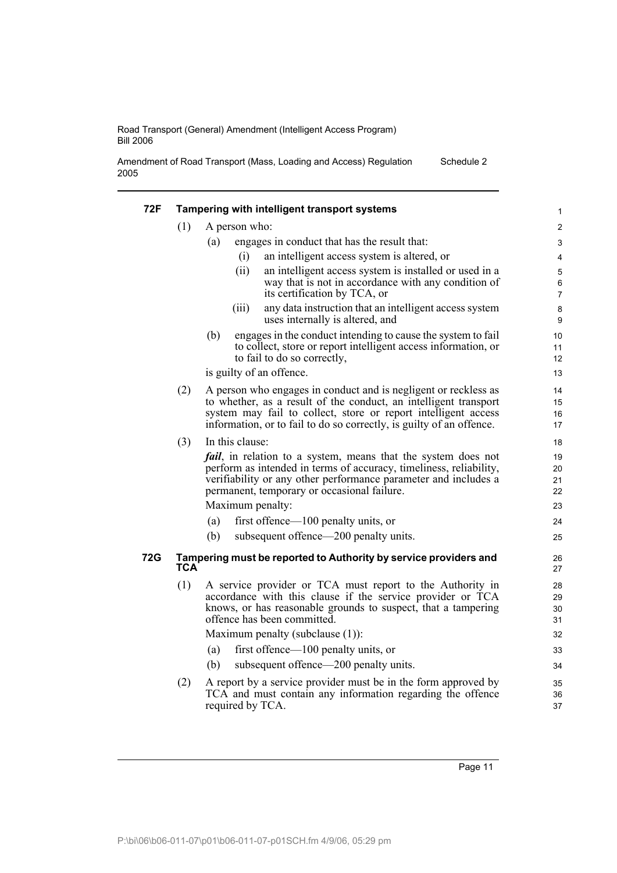Amendment of Road Transport (Mass, Loading and Access) Regulation 2005 Schedule 2

| (1)        |                                                                                                                                                                                                                                                                               |                                    |
|------------|-------------------------------------------------------------------------------------------------------------------------------------------------------------------------------------------------------------------------------------------------------------------------------|------------------------------------|
|            | A person who:                                                                                                                                                                                                                                                                 | $\overline{c}$                     |
|            | engages in conduct that has the result that:<br>(a)                                                                                                                                                                                                                           | $\ensuremath{\mathsf{3}}$          |
|            | (i)<br>an intelligent access system is altered, or                                                                                                                                                                                                                            | $\overline{4}$                     |
|            | (ii)<br>an intelligent access system is installed or used in a<br>way that is not in accordance with any condition of<br>its certification by TCA, or                                                                                                                         | $\mathbf 5$<br>6<br>$\overline{7}$ |
|            | any data instruction that an intelligent access system<br>(iii)<br>uses internally is altered, and                                                                                                                                                                            | 8<br>9                             |
|            | (b)<br>engages in the conduct intending to cause the system to fail<br>to collect, store or report intelligent access information, or<br>to fail to do so correctly,                                                                                                          | 10<br>11<br>12                     |
|            | is guilty of an offence.                                                                                                                                                                                                                                                      | 13                                 |
| (2)        | A person who engages in conduct and is negligent or reckless as<br>to whether, as a result of the conduct, an intelligent transport<br>system may fail to collect, store or report intelligent access<br>information, or to fail to do so correctly, is guilty of an offence. | 14<br>15<br>16<br>17               |
| (3)        | In this clause:                                                                                                                                                                                                                                                               | 18                                 |
|            | <i>fail</i> , in relation to a system, means that the system does not<br>perform as intended in terms of accuracy, timeliness, reliability,<br>verifiability or any other performance parameter and includes a<br>permanent, temporary or occasional failure.                 | 19<br>20<br>21<br>22               |
|            | Maximum penalty:                                                                                                                                                                                                                                                              | 23                                 |
|            | first offence—100 penalty units, or<br>(a)                                                                                                                                                                                                                                    | 24                                 |
|            | subsequent offence—200 penalty units.<br>(b)                                                                                                                                                                                                                                  | 25                                 |
| 72G<br>TCA | Tampering must be reported to Authority by service providers and                                                                                                                                                                                                              | 26<br>27                           |
| (1)        | A service provider or TCA must report to the Authority in<br>accordance with this clause if the service provider or TCA<br>knows, or has reasonable grounds to suspect, that a tampering<br>offence has been committed.                                                       | 28<br>29<br>30<br>31               |
|            | Maximum penalty (subclause (1)):                                                                                                                                                                                                                                              | 32                                 |
|            | first offence—100 penalty units, or<br>(a)                                                                                                                                                                                                                                    | 33                                 |
|            | subsequent offence—200 penalty units.<br>(b)                                                                                                                                                                                                                                  | 34                                 |
| (2)        | A report by a service provider must be in the form approved by<br>TCA and must contain any information regarding the offence<br>required by TCA.                                                                                                                              | 35<br>36<br>37                     |

Page 11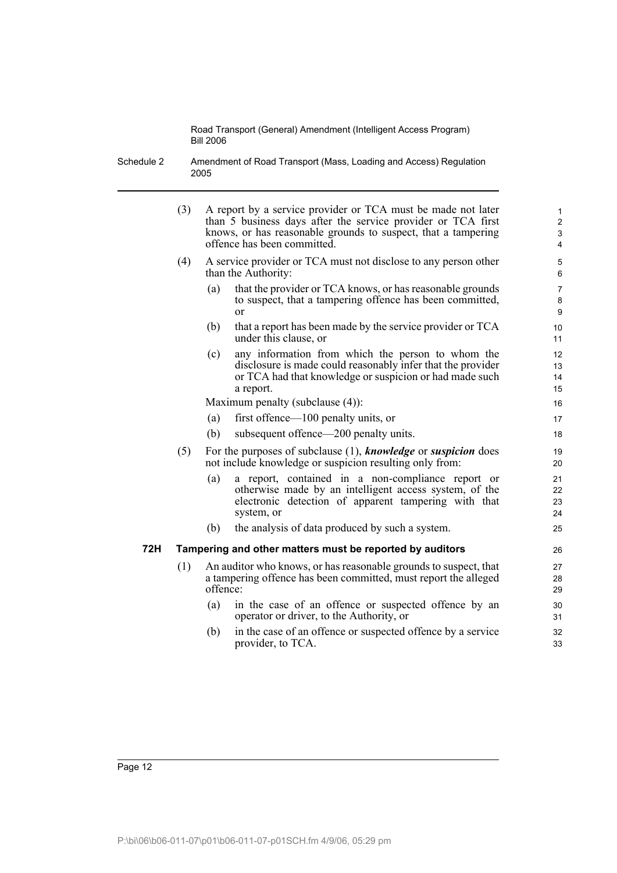Schedule 2 Amendment of Road Transport (Mass, Loading and Access) Regulation 2005

- (3) A report by a service provider or TCA must be made not later than 5 business days after the service provider or TCA first knows, or has reasonable grounds to suspect, that a tampering offence has been committed.
- (4) A service provider or TCA must not disclose to any person other than the Authority:
	- (a) that the provider or TCA knows, or has reasonable grounds to suspect, that a tampering offence has been committed, or

- (b) that a report has been made by the service provider or TCA under this clause, or
- (c) any information from which the person to whom the disclosure is made could reasonably infer that the provider or TCA had that knowledge or suspicion or had made such a report.

Maximum penalty (subclause (4)):

- (a) first offence—100 penalty units, or
- (b) subsequent offence—200 penalty units.
- (5) For the purposes of subclause (1), *knowledge* or *suspicion* does not include knowledge or suspicion resulting only from:
	- (a) a report, contained in a non-compliance report or otherwise made by an intelligent access system, of the electronic detection of apparent tampering with that system, or
	- (b) the analysis of data produced by such a system.

## **72H Tampering and other matters must be reported by auditors**

- (1) An auditor who knows, or has reasonable grounds to suspect, that a tampering offence has been committed, must report the alleged offence:
	- (a) in the case of an offence or suspected offence by an operator or driver, to the Authority, or
	- (b) in the case of an offence or suspected offence by a service provider, to TCA.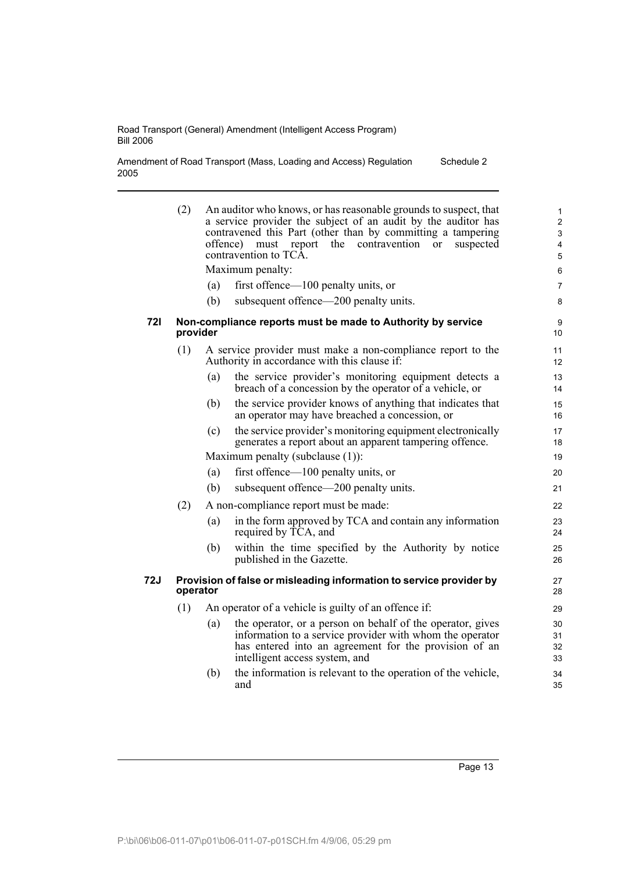Amendment of Road Transport (Mass, Loading and Access) Regulation 2005 Schedule 2

|     | (2)      | offence)<br>(a)<br>(b) | An auditor who knows, or has reasonable grounds to suspect, that<br>a service provider the subject of an audit by the auditor has<br>contravened this Part (other than by committing a tampering<br>the<br>contravention<br>report<br>suspected<br>must<br>or<br>contravention to TCÂ.<br>Maximum penalty:<br>first offence—100 penalty units, or<br>subsequent offence—200 penalty units. | $\mathbf{1}$<br>$\overline{2}$<br>3<br>4<br>5<br>6<br>$\overline{7}$<br>8 |
|-----|----------|------------------------|--------------------------------------------------------------------------------------------------------------------------------------------------------------------------------------------------------------------------------------------------------------------------------------------------------------------------------------------------------------------------------------------|---------------------------------------------------------------------------|
| 72I | provider |                        | Non-compliance reports must be made to Authority by service                                                                                                                                                                                                                                                                                                                                | 9<br>10                                                                   |
|     | (1)      |                        | A service provider must make a non-compliance report to the<br>Authority in accordance with this clause if:                                                                                                                                                                                                                                                                                | 11<br>12                                                                  |
|     |          | (a)                    | the service provider's monitoring equipment detects a<br>breach of a concession by the operator of a vehicle, or                                                                                                                                                                                                                                                                           | 13<br>14                                                                  |
|     |          | (b)                    | the service provider knows of anything that indicates that<br>an operator may have breached a concession, or                                                                                                                                                                                                                                                                               | 15<br>16                                                                  |
|     |          | (c)                    | the service provider's monitoring equipment electronically<br>generates a report about an apparent tampering offence.                                                                                                                                                                                                                                                                      | 17<br>18                                                                  |
|     |          |                        | Maximum penalty (subclause (1)):                                                                                                                                                                                                                                                                                                                                                           | 19                                                                        |
|     |          | (a)                    | first offence— $100$ penalty units, or                                                                                                                                                                                                                                                                                                                                                     | 20                                                                        |
|     |          | (b)                    | subsequent offence—200 penalty units.                                                                                                                                                                                                                                                                                                                                                      | 21                                                                        |
|     | (2)      |                        | A non-compliance report must be made:                                                                                                                                                                                                                                                                                                                                                      | 22                                                                        |
|     |          | (a)                    | in the form approved by TCA and contain any information<br>required by TCA, and                                                                                                                                                                                                                                                                                                            | 23<br>24                                                                  |
|     |          | (b)                    | within the time specified by the Authority by notice<br>published in the Gazette.                                                                                                                                                                                                                                                                                                          | 25<br>26                                                                  |
| 72J | operator |                        | Provision of false or misleading information to service provider by                                                                                                                                                                                                                                                                                                                        | 27<br>28                                                                  |
|     | (1)      |                        | An operator of a vehicle is guilty of an offence if:                                                                                                                                                                                                                                                                                                                                       | 29                                                                        |
|     |          | (a)                    | the operator, or a person on behalf of the operator, gives<br>information to a service provider with whom the operator<br>has entered into an agreement for the provision of an<br>intelligent access system, and                                                                                                                                                                          | 30<br>31<br>32<br>33                                                      |
|     |          | (b)                    | the information is relevant to the operation of the vehicle,<br>and                                                                                                                                                                                                                                                                                                                        | 34<br>35                                                                  |

Page 13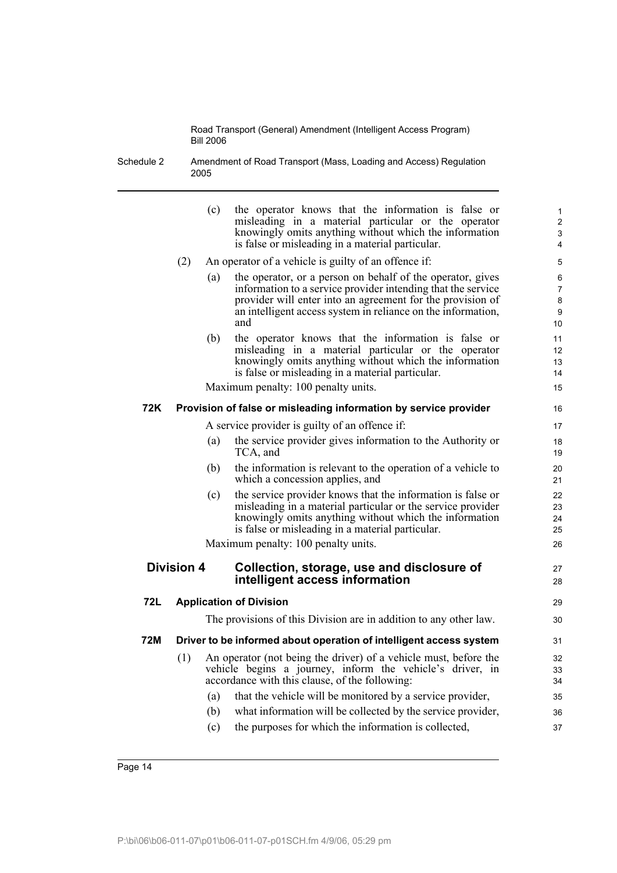Schedule 2 Amendment of Road Transport (Mass, Loading and Access) Regulation 2005

|     |                   | (c) | the operator knows that the information is false or<br>misleading in a material particular or the operator<br>knowingly omits anything without which the information<br>is false or misleading in a material particular.                                        | 1<br>$\overline{c}$<br>$\mathsf 3$<br>4 |
|-----|-------------------|-----|-----------------------------------------------------------------------------------------------------------------------------------------------------------------------------------------------------------------------------------------------------------------|-----------------------------------------|
|     | (2)               |     | An operator of a vehicle is guilty of an offence if:                                                                                                                                                                                                            | 5                                       |
|     |                   | (a) | the operator, or a person on behalf of the operator, gives<br>information to a service provider intending that the service<br>provider will enter into an agreement for the provision of<br>an intelligent access system in reliance on the information,<br>and | 6<br>$\overline{7}$<br>8<br>9<br>10     |
|     |                   | (b) | the operator knows that the information is false or<br>misleading in a material particular or the operator<br>knowingly omits anything without which the information<br>is false or misleading in a material particular.                                        | 11<br>12<br>13<br>14                    |
|     |                   |     | Maximum penalty: 100 penalty units.                                                                                                                                                                                                                             | 15                                      |
| 72K |                   |     | Provision of false or misleading information by service provider                                                                                                                                                                                                | 16                                      |
|     |                   |     | A service provider is guilty of an offence if:                                                                                                                                                                                                                  | 17                                      |
|     |                   | (a) | the service provider gives information to the Authority or<br>TCA, and                                                                                                                                                                                          | 18<br>19                                |
|     |                   | (b) | the information is relevant to the operation of a vehicle to<br>which a concession applies, and                                                                                                                                                                 | 20<br>21                                |
|     |                   | (c) | the service provider knows that the information is false or<br>misleading in a material particular or the service provider<br>knowingly omits anything without which the information<br>is false or misleading in a material particular.                        | 22<br>23<br>24<br>25                    |
|     |                   |     | Maximum penalty: 100 penalty units.                                                                                                                                                                                                                             | 26                                      |
|     | <b>Division 4</b> |     | Collection, storage, use and disclosure of<br>intelligent access information                                                                                                                                                                                    | 27<br>28                                |
| 72L |                   |     | <b>Application of Division</b>                                                                                                                                                                                                                                  | 29                                      |
|     |                   |     | The provisions of this Division are in addition to any other law.                                                                                                                                                                                               | 30                                      |
| 72M |                   |     | Driver to be informed about operation of intelligent access system                                                                                                                                                                                              | 31                                      |
|     | (1)               |     | An operator (not being the driver) of a vehicle must, before the                                                                                                                                                                                                |                                         |
|     |                   |     | vehicle begins a journey, inform the vehicle's driver, in<br>accordance with this clause, of the following:                                                                                                                                                     | 32<br>33<br>34                          |
|     |                   | (a) | that the vehicle will be monitored by a service provider,                                                                                                                                                                                                       | 35                                      |
|     |                   | (b) | what information will be collected by the service provider,                                                                                                                                                                                                     | 36                                      |
|     |                   | (c) | the purposes for which the information is collected,                                                                                                                                                                                                            | 37                                      |
|     |                   |     |                                                                                                                                                                                                                                                                 |                                         |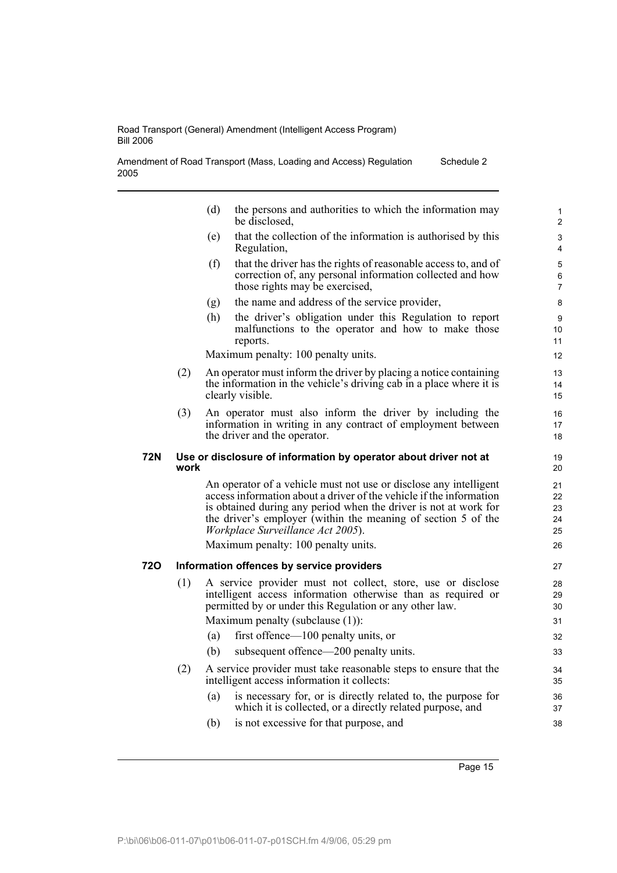| Road Transport (General) Amendment (Intelligent Access Program) |  |
|-----------------------------------------------------------------|--|
| <b>Bill 2006</b>                                                |  |

| Amendment of Road Transport (Mass, Loading and Access) Regulation | Schedule 2 |
|-------------------------------------------------------------------|------------|
| 2005                                                              |            |

| (d) | the persons and authorities to which the information may |  |
|-----|----------------------------------------------------------|--|
|     | be disclosed,                                            |  |

- (e) that the collection of the information is authorised by this Regulation,
- (f) that the driver has the rights of reasonable access to, and of correction of, any personal information collected and how those rights may be exercised,
- (g) the name and address of the service provider,
- (h) the driver's obligation under this Regulation to report malfunctions to the operator and how to make those reports.

Maximum penalty: 100 penalty units.

- (2) An operator must inform the driver by placing a notice containing the information in the vehicle's driving cab in a place where it is clearly visible.
- (3) An operator must also inform the driver by including the information in writing in any contract of employment between the driver and the operator.

### **72N Use or disclosure of information by operator about driver not at work**

An operator of a vehicle must not use or disclose any intelligent access information about a driver of the vehicle if the information is obtained during any period when the driver is not at work for the driver's employer (within the meaning of section 5 of the *Workplace Surveillance Act 2005*).

Maximum penalty: 100 penalty units.

## **72O Information offences by service providers**

- (1) A service provider must not collect, store, use or disclose intelligent access information otherwise than as required or permitted by or under this Regulation or any other law. Maximum penalty (subclause (1)):
	- (a) first offence—100 penalty units, or
	- (b) subsequent offence—200 penalty units.
- (2) A service provider must take reasonable steps to ensure that the intelligent access information it collects:
	- (a) is necessary for, or is directly related to, the purpose for which it is collected, or a directly related purpose, and
	- (b) is not excessive for that purpose, and

Page 15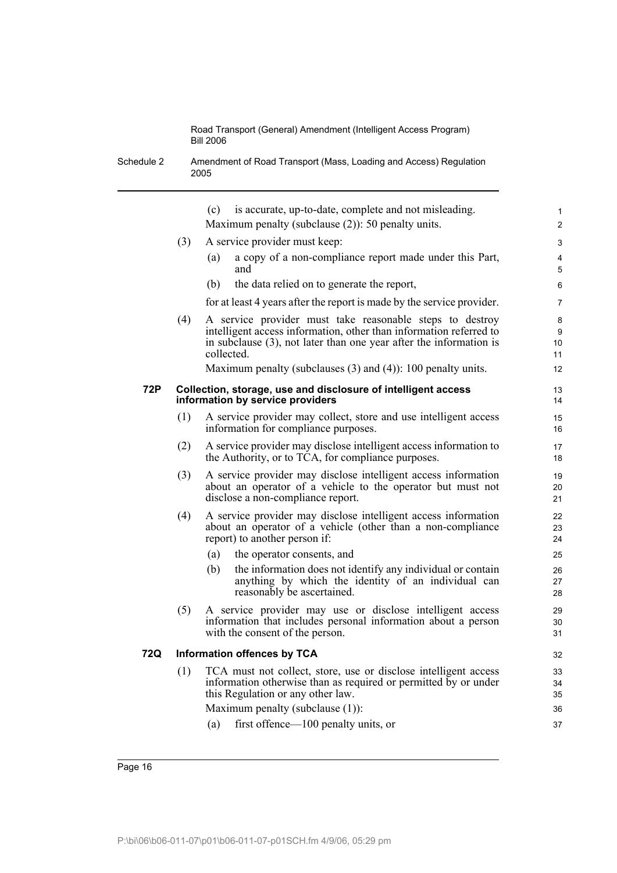Schedule 2 Amendment of Road Transport (Mass, Loading and Access) Regulation 2005

|     |                                                                                                   | is accurate, up-to-date, complete and not misleading.<br>(c)                                                                                                                                                          | $\mathbf{1}$       |  |  |
|-----|---------------------------------------------------------------------------------------------------|-----------------------------------------------------------------------------------------------------------------------------------------------------------------------------------------------------------------------|--------------------|--|--|
|     |                                                                                                   | Maximum penalty (subclause $(2)$ ): 50 penalty units.                                                                                                                                                                 | $\overline{2}$     |  |  |
|     | (3)                                                                                               | A service provider must keep:                                                                                                                                                                                         | 3                  |  |  |
|     |                                                                                                   | a copy of a non-compliance report made under this Part,<br>(a)<br>and                                                                                                                                                 | 4<br>5             |  |  |
|     |                                                                                                   | (b)<br>the data relied on to generate the report,                                                                                                                                                                     | 6                  |  |  |
|     |                                                                                                   | for at least 4 years after the report is made by the service provider.                                                                                                                                                | 7                  |  |  |
|     | (4)                                                                                               | A service provider must take reasonable steps to destroy<br>intelligent access information, other than information referred to<br>in subclause $(3)$ , not later than one year after the information is<br>collected. | 8<br>9<br>10<br>11 |  |  |
|     |                                                                                                   | Maximum penalty (subclauses $(3)$ and $(4)$ ): 100 penalty units.                                                                                                                                                     | 12                 |  |  |
| 72P | Collection, storage, use and disclosure of intelligent access<br>information by service providers |                                                                                                                                                                                                                       |                    |  |  |
|     | (1)                                                                                               | A service provider may collect, store and use intelligent access<br>information for compliance purposes.                                                                                                              | 15<br>16           |  |  |
|     | (2)                                                                                               | A service provider may disclose intelligent access information to<br>the Authority, or to TCA, for compliance purposes.                                                                                               | 17<br>18           |  |  |
|     | (3)                                                                                               | A service provider may disclose intelligent access information<br>about an operator of a vehicle to the operator but must not<br>disclose a non-compliance report.                                                    | 19<br>20<br>21     |  |  |
|     | (4)                                                                                               | A service provider may disclose intelligent access information<br>about an operator of a vehicle (other than a non-compliance<br>report) to another person if:                                                        | 22<br>23<br>24     |  |  |
|     |                                                                                                   | the operator consents, and<br>(a)                                                                                                                                                                                     | 25                 |  |  |
|     |                                                                                                   | the information does not identify any individual or contain<br>(b)<br>anything by which the identity of an individual can<br>reasonably be ascertained.                                                               | 26<br>27<br>28     |  |  |
|     | (5)                                                                                               | A service provider may use or disclose intelligent access<br>information that includes personal information about a person<br>with the consent of the person.                                                         | 29<br>30<br>31     |  |  |
| 72Q |                                                                                                   | <b>Information offences by TCA</b>                                                                                                                                                                                    | 32                 |  |  |
|     | (1)                                                                                               | TCA must not collect, store, use or disclose intelligent access<br>information otherwise than as required or permitted by or under<br>this Regulation or any other law.                                               | 33<br>34<br>35     |  |  |
|     |                                                                                                   | Maximum penalty (subclause (1)):                                                                                                                                                                                      | 36                 |  |  |
|     |                                                                                                   | first offence—100 penalty units, or<br>(a)                                                                                                                                                                            | 37                 |  |  |
|     |                                                                                                   |                                                                                                                                                                                                                       |                    |  |  |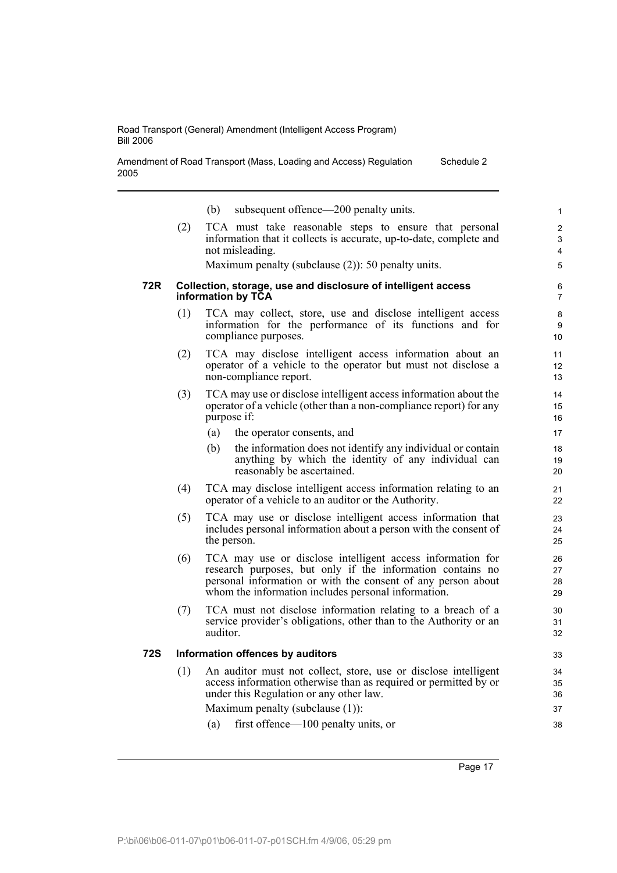Amendment of Road Transport (Mass, Loading and Access) Regulation 2005 Schedule 2

|     |                                  | subsequent offence—200 penalty units.<br>(b)                                                                                                                                                                                                    | $\mathbf{1}$             |  |  |
|-----|----------------------------------|-------------------------------------------------------------------------------------------------------------------------------------------------------------------------------------------------------------------------------------------------|--------------------------|--|--|
|     | (2)                              | TCA must take reasonable steps to ensure that personal<br>information that it collects is accurate, up-to-date, complete and<br>not misleading.                                                                                                 | $\overline{2}$<br>3<br>4 |  |  |
|     |                                  | Maximum penalty (subclause $(2)$ ): 50 penalty units.                                                                                                                                                                                           | 5                        |  |  |
| 72R |                                  | Collection, storage, use and disclosure of intelligent access<br>information by TCA                                                                                                                                                             | 6<br>$\overline{7}$      |  |  |
|     | (1)                              | TCA may collect, store, use and disclose intelligent access<br>information for the performance of its functions and for<br>compliance purposes.                                                                                                 | 8<br>9<br>10             |  |  |
|     | (2)                              | TCA may disclose intelligent access information about an<br>operator of a vehicle to the operator but must not disclose a<br>non-compliance report.                                                                                             | 11<br>12<br>13           |  |  |
|     | (3)                              | TCA may use or disclose intelligent access information about the<br>operator of a vehicle (other than a non-compliance report) for any<br>purpose if:                                                                                           | 14<br>15<br>16           |  |  |
|     |                                  | (a)<br>the operator consents, and                                                                                                                                                                                                               | 17                       |  |  |
|     |                                  | the information does not identify any individual or contain<br>(b)<br>anything by which the identity of any individual can<br>reasonably be ascertained.                                                                                        | 18<br>19<br>20           |  |  |
|     | (4)                              | TCA may disclose intelligent access information relating to an<br>operator of a vehicle to an auditor or the Authority.                                                                                                                         | 21<br>22                 |  |  |
|     | (5)                              | TCA may use or disclose intelligent access information that<br>includes personal information about a person with the consent of<br>the person.                                                                                                  | 23<br>24<br>25           |  |  |
|     | (6)                              | TCA may use or disclose intelligent access information for<br>research purposes, but only if the information contains no<br>personal information or with the consent of any person about<br>whom the information includes personal information. | 26<br>27<br>28<br>29     |  |  |
|     | (7)                              | TCA must not disclose information relating to a breach of a<br>service provider's obligations, other than to the Authority or an<br>auditor.                                                                                                    | 30<br>31<br>32           |  |  |
| 72S | Information offences by auditors |                                                                                                                                                                                                                                                 |                          |  |  |
|     | (1)                              | An auditor must not collect, store, use or disclose intelligent<br>access information otherwise than as required or permitted by or<br>under this Regulation or any other law.                                                                  | 34<br>35<br>36           |  |  |
|     |                                  | Maximum penalty (subclause (1)):                                                                                                                                                                                                                | 37                       |  |  |
|     |                                  | first offence-100 penalty units, or<br>(a)                                                                                                                                                                                                      | 38                       |  |  |

Page 17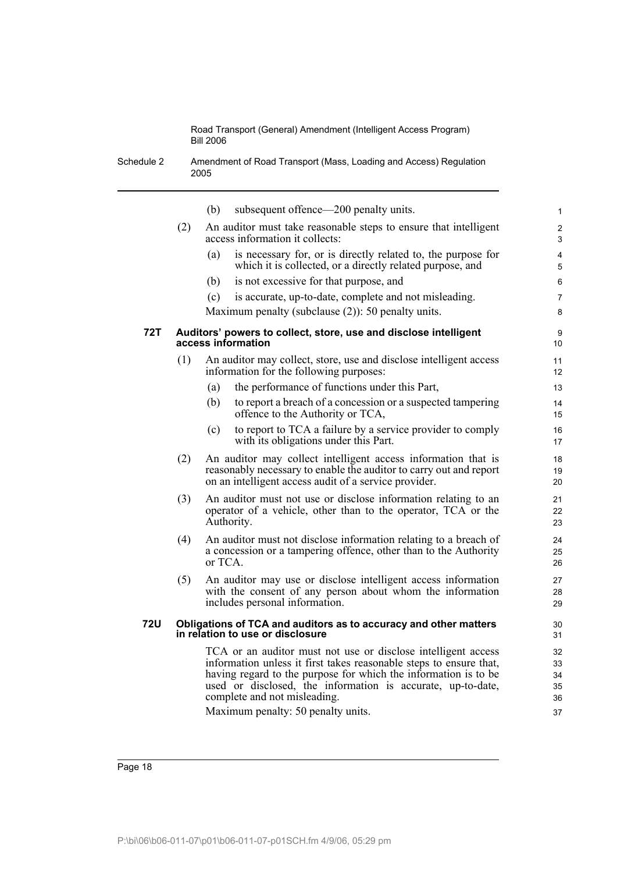Schedule 2 Amendment of Road Transport (Mass, Loading and Access) Regulation 2005

|            |     | (b)     | subsequent offence—200 penalty units.                                                                                                                                                                                                                                                                                                       | 1                                |
|------------|-----|---------|---------------------------------------------------------------------------------------------------------------------------------------------------------------------------------------------------------------------------------------------------------------------------------------------------------------------------------------------|----------------------------------|
|            | (2) |         | An auditor must take reasonable steps to ensure that intelligent<br>access information it collects:                                                                                                                                                                                                                                         | $\overline{2}$<br>3              |
|            |     | (a)     | is necessary for, or is directly related to, the purpose for<br>which it is collected, or a directly related purpose, and                                                                                                                                                                                                                   | $\overline{4}$<br>5              |
|            |     | (b)     | is not excessive for that purpose, and                                                                                                                                                                                                                                                                                                      | 6                                |
|            |     | (c)     | is accurate, up-to-date, complete and not misleading.                                                                                                                                                                                                                                                                                       | $\overline{7}$                   |
|            |     |         | Maximum penalty (subclause $(2)$ ): 50 penalty units.                                                                                                                                                                                                                                                                                       | 8                                |
| <b>72T</b> |     |         | Auditors' powers to collect, store, use and disclose intelligent<br>access information                                                                                                                                                                                                                                                      | 9<br>10                          |
|            | (1) |         | An auditor may collect, store, use and disclose intelligent access<br>information for the following purposes:                                                                                                                                                                                                                               | 11<br>12                         |
|            |     | (a)     | the performance of functions under this Part,                                                                                                                                                                                                                                                                                               | 13                               |
|            |     | (b)     | to report a breach of a concession or a suspected tampering<br>offence to the Authority or TCA,                                                                                                                                                                                                                                             | 14<br>15                         |
|            |     | (c)     | to report to TCA a failure by a service provider to comply<br>with its obligations under this Part.                                                                                                                                                                                                                                         | 16<br>17                         |
|            | (2) |         | An auditor may collect intelligent access information that is<br>reasonably necessary to enable the auditor to carry out and report<br>on an intelligent access audit of a service provider.                                                                                                                                                | 18<br>19<br>20                   |
|            | (3) |         | An auditor must not use or disclose information relating to an<br>operator of a vehicle, other than to the operator, TCA or the<br>Authority.                                                                                                                                                                                               | 21<br>22<br>23                   |
|            | (4) | or TCA. | An auditor must not disclose information relating to a breach of<br>a concession or a tampering offence, other than to the Authority                                                                                                                                                                                                        | 24<br>25<br>26                   |
|            | (5) |         | An auditor may use or disclose intelligent access information<br>with the consent of any person about whom the information<br>includes personal information.                                                                                                                                                                                | 27<br>28<br>29                   |
| <b>72U</b> |     |         | Obligations of TCA and auditors as to accuracy and other matters<br>in relation to use or disclosure                                                                                                                                                                                                                                        | 30<br>31                         |
|            |     |         | TCA or an auditor must not use or disclose intelligent access<br>information unless it first takes reasonable steps to ensure that,<br>having regard to the purpose for which the information is to be<br>used or disclosed, the information is accurate, up-to-date,<br>complete and not misleading.<br>Maximum penalty: 50 penalty units. | 32<br>33<br>34<br>35<br>36<br>37 |
|            |     |         |                                                                                                                                                                                                                                                                                                                                             |                                  |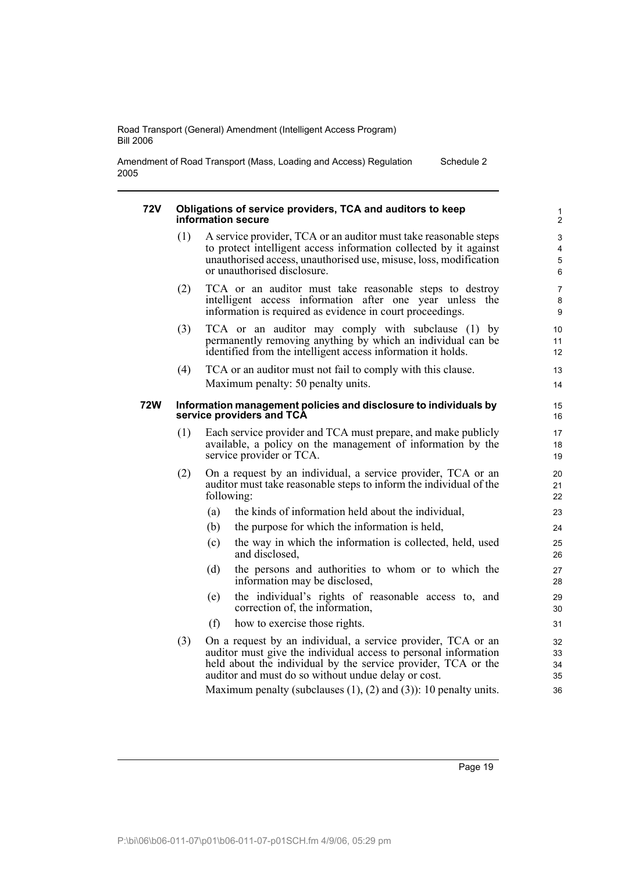Amendment of Road Transport (Mass, Loading and Access) Regulation 2005 Schedule 2

#### **72V Obligations of service providers, TCA and auditors to keep information secure**

- (1) A service provider, TCA or an auditor must take reasonable steps to protect intelligent access information collected by it against unauthorised access, unauthorised use, misuse, loss, modification or unauthorised disclosure.
- (2) TCA or an auditor must take reasonable steps to destroy intelligent access information after one year unless the information is required as evidence in court proceedings.
- (3) TCA or an auditor may comply with subclause (1) by permanently removing anything by which an individual can be identified from the intelligent access information it holds.
- (4) TCA or an auditor must not fail to comply with this clause. Maximum penalty: 50 penalty units.

### **72W Information management policies and disclosure to individuals by service providers and TCA**

- (1) Each service provider and TCA must prepare, and make publicly available, a policy on the management of information by the service provider or TCA.
- (2) On a request by an individual, a service provider, TCA or an auditor must take reasonable steps to inform the individual of the following:
	- (a) the kinds of information held about the individual,
	- (b) the purpose for which the information is held,
	- (c) the way in which the information is collected, held, used and disclosed,
	- (d) the persons and authorities to whom or to which the information may be disclosed,
	- (e) the individual's rights of reasonable access to, and correction of, the information,
	- (f) how to exercise those rights.
- (3) On a request by an individual, a service provider, TCA or an auditor must give the individual access to personal information held about the individual by the service provider, TCA or the auditor and must do so without undue delay or cost.

Maximum penalty (subclauses (1), (2) and (3)): 10 penalty units.

Page 19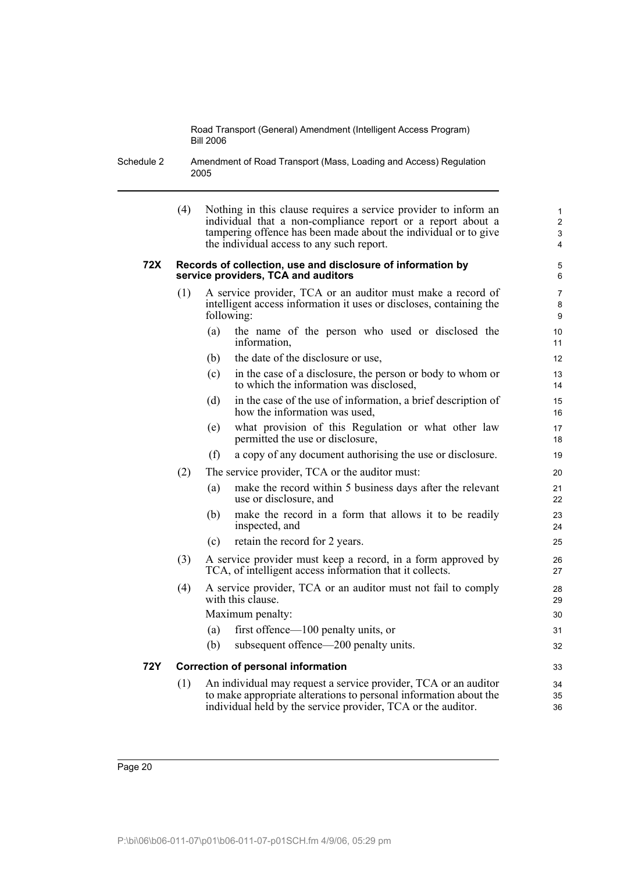Schedule 2 Amendment of Road Transport (Mass, Loading and Access) Regulation 2005

|     | (4)                                       | Nothing in this clause requires a service provider to inform an<br>individual that a non-compliance report or a report about a<br>tampering offence has been made about the individual or to give<br>the individual access to any such report. | $\mathbf{1}$<br>$\overline{2}$<br>3<br>4 |  |  |
|-----|-------------------------------------------|------------------------------------------------------------------------------------------------------------------------------------------------------------------------------------------------------------------------------------------------|------------------------------------------|--|--|
| 72X |                                           | Records of collection, use and disclosure of information by<br>service providers, TCA and auditors                                                                                                                                             | 5<br>6                                   |  |  |
|     | (1)                                       | A service provider, TCA or an auditor must make a record of<br>intelligent access information it uses or discloses, containing the<br>following:                                                                                               | 7<br>8<br>9                              |  |  |
|     |                                           | the name of the person who used or disclosed the<br>(a)<br>information,                                                                                                                                                                        | 10<br>11                                 |  |  |
|     |                                           | the date of the disclosure or use,<br>(b)                                                                                                                                                                                                      | 12                                       |  |  |
|     |                                           | in the case of a disclosure, the person or body to whom or<br>(c)<br>to which the information was disclosed,                                                                                                                                   | 13<br>14                                 |  |  |
|     |                                           | in the case of the use of information, a brief description of<br>(d)<br>how the information was used,                                                                                                                                          | 15<br>16                                 |  |  |
|     |                                           | what provision of this Regulation or what other law<br>(e)<br>permitted the use or disclosure,                                                                                                                                                 | 17<br>18                                 |  |  |
|     |                                           | (f)<br>a copy of any document authorising the use or disclosure.                                                                                                                                                                               | 19                                       |  |  |
|     | (2)                                       | The service provider, TCA or the auditor must:                                                                                                                                                                                                 |                                          |  |  |
|     |                                           | make the record within 5 business days after the relevant<br>(a)<br>use or disclosure, and                                                                                                                                                     | 21<br>22                                 |  |  |
|     |                                           | make the record in a form that allows it to be readily<br>(b)<br>inspected, and                                                                                                                                                                | 23<br>24                                 |  |  |
|     |                                           | retain the record for 2 years.<br>(c)                                                                                                                                                                                                          | 25                                       |  |  |
|     | (3)                                       | A service provider must keep a record, in a form approved by<br>TCA, of intelligent access information that it collects.                                                                                                                       |                                          |  |  |
|     | (4)                                       | A service provider, TCA or an auditor must not fail to comply<br>with this clause.                                                                                                                                                             | 28<br>29                                 |  |  |
|     |                                           | Maximum penalty:                                                                                                                                                                                                                               | 30                                       |  |  |
|     |                                           | first offence—100 penalty units, or<br>(a)                                                                                                                                                                                                     | 31                                       |  |  |
|     |                                           | subsequent offence—200 penalty units.<br>(b)                                                                                                                                                                                                   | 32                                       |  |  |
| 72Y | <b>Correction of personal information</b> |                                                                                                                                                                                                                                                |                                          |  |  |
|     | (1)                                       | An individual may request a service provider, TCA or an auditor<br>to make appropriate alterations to personal information about the<br>individual held by the service provider, TCA or the auditor.                                           | 34<br>35<br>36                           |  |  |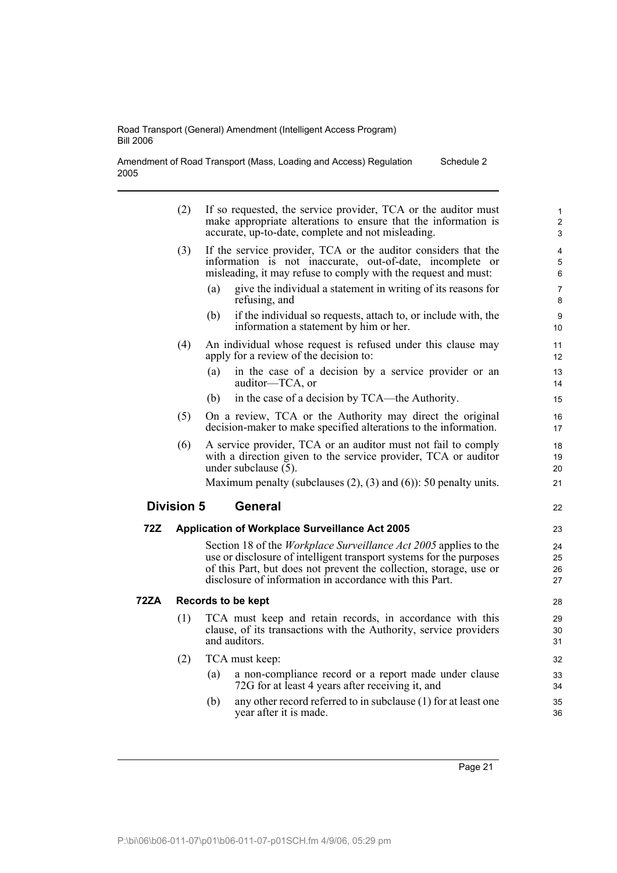i

Amendment of Road Transport (Mass, Loading and Access) Regulation 2005 Schedule 2

|      | (2)                | If so requested, the service provider, TCA or the auditor must<br>make appropriate alterations to ensure that the information is<br>accurate, up-to-date, complete and not misleading.                                                                                          | $\mathbf{1}$<br>$\overline{2}$<br>$\mathfrak{S}$ |  |  |  |
|------|--------------------|---------------------------------------------------------------------------------------------------------------------------------------------------------------------------------------------------------------------------------------------------------------------------------|--------------------------------------------------|--|--|--|
|      | (3)                | If the service provider, TCA or the auditor considers that the<br>information is not inaccurate, out-of-date, incomplete or<br>misleading, it may refuse to comply with the request and must:                                                                                   | $\overline{4}$<br>5<br>6                         |  |  |  |
|      |                    | give the individual a statement in writing of its reasons for<br>(a)<br>refusing, and                                                                                                                                                                                           | 7<br>8                                           |  |  |  |
|      |                    | if the individual so requests, attach to, or include with, the<br>(b)<br>information a statement by him or her.                                                                                                                                                                 | 9<br>10                                          |  |  |  |
|      | (4)                | An individual whose request is refused under this clause may<br>apply for a review of the decision to:                                                                                                                                                                          | 11<br>12                                         |  |  |  |
|      |                    | (a)<br>in the case of a decision by a service provider or an<br>auditor-TCA, or                                                                                                                                                                                                 | 13<br>14                                         |  |  |  |
|      |                    | in the case of a decision by TCA—the Authority.<br>(b)                                                                                                                                                                                                                          | 15                                               |  |  |  |
|      | (5)                | On a review, TCA or the Authority may direct the original<br>decision-maker to make specified alterations to the information.                                                                                                                                                   | 16<br>17                                         |  |  |  |
|      | (6)                | A service provider, TCA or an auditor must not fail to comply<br>with a direction given to the service provider, TCA or auditor<br>under subclause $(5)$ .                                                                                                                      | 18<br>19<br>20                                   |  |  |  |
|      |                    | Maximum penalty (subclauses $(2)$ , $(3)$ and $(6)$ ): 50 penalty units.                                                                                                                                                                                                        | 21                                               |  |  |  |
|      | <b>Division 5</b>  | <b>General</b>                                                                                                                                                                                                                                                                  | 22                                               |  |  |  |
| 72Z  |                    | <b>Application of Workplace Surveillance Act 2005</b>                                                                                                                                                                                                                           | 23                                               |  |  |  |
|      |                    | Section 18 of the <i>Workplace Surveillance Act 2005</i> applies to the<br>use or disclosure of intelligent transport systems for the purposes<br>of this Part, but does not prevent the collection, storage, use or<br>disclosure of information in accordance with this Part. | 24<br>25<br>26<br>27                             |  |  |  |
| 72ZA | Records to be kept |                                                                                                                                                                                                                                                                                 |                                                  |  |  |  |
|      | (1)                | TCA must keep and retain records, in accordance with this<br>clause, of its transactions with the Authority, service providers<br>and auditors.                                                                                                                                 | 29<br>30<br>31                                   |  |  |  |
|      | (2)                | TCA must keep:                                                                                                                                                                                                                                                                  | 32                                               |  |  |  |
|      |                    | a non-compliance record or a report made under clause<br>(a)<br>72G for at least 4 years after receiving it, and                                                                                                                                                                | 33<br>34                                         |  |  |  |
|      |                    | any other record referred to in subclause (1) for at least one<br>(b)<br>year after it is made.                                                                                                                                                                                 | 35<br>36                                         |  |  |  |
|      |                    |                                                                                                                                                                                                                                                                                 |                                                  |  |  |  |

Page 21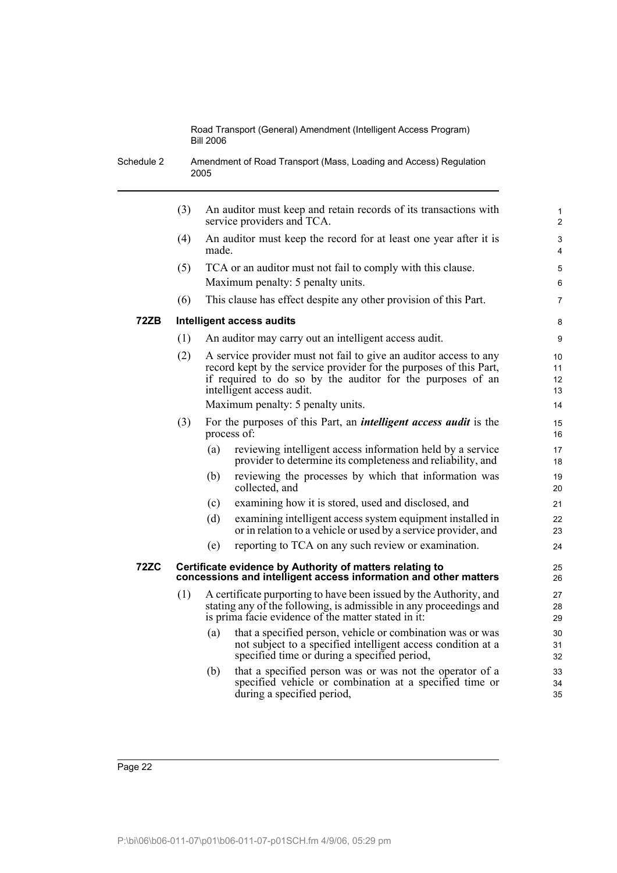Schedule 2 Amendment of Road Transport (Mass, Loading and Access) Regulation 2005

|      | (3) |       | An auditor must keep and retain records of its transactions with<br>service providers and TCA.                                                                                                                                     | $\mathbf{1}$<br>$\overline{2}$ |
|------|-----|-------|------------------------------------------------------------------------------------------------------------------------------------------------------------------------------------------------------------------------------------|--------------------------------|
|      | (4) | made. | An auditor must keep the record for at least one year after it is                                                                                                                                                                  | 3<br>4                         |
|      | (5) |       | TCA or an auditor must not fail to comply with this clause.<br>Maximum penalty: 5 penalty units.                                                                                                                                   | 5<br>6                         |
|      | (6) |       | This clause has effect despite any other provision of this Part.                                                                                                                                                                   | $\overline{7}$                 |
| 72ZB |     |       | Intelligent access audits                                                                                                                                                                                                          | 8                              |
|      | (1) |       | An auditor may carry out an intelligent access audit.                                                                                                                                                                              | 9                              |
|      | (2) |       | A service provider must not fail to give an auditor access to any<br>record kept by the service provider for the purposes of this Part,<br>if required to do so by the auditor for the purposes of an<br>intelligent access audit. | 10<br>11<br>12<br>13           |
|      |     |       | Maximum penalty: 5 penalty units.                                                                                                                                                                                                  | 14                             |
|      | (3) |       | For the purposes of this Part, an <i>intelligent access audit</i> is the<br>process of:                                                                                                                                            | 15<br>16                       |
|      |     | (a)   | reviewing intelligent access information held by a service<br>provider to determine its completeness and reliability, and                                                                                                          | 17<br>18                       |
|      |     | (b)   | reviewing the processes by which that information was<br>collected, and                                                                                                                                                            | 19<br>20                       |
|      |     | (c)   | examining how it is stored, used and disclosed, and                                                                                                                                                                                | 21                             |
|      |     | (d)   | examining intelligent access system equipment installed in<br>or in relation to a vehicle or used by a service provider, and                                                                                                       | 22<br>23                       |
|      |     | (e)   | reporting to TCA on any such review or examination.                                                                                                                                                                                | 24                             |
| 72ZC |     |       | Certificate evidence by Authority of matters relating to<br>concessions and intelligent access information and other matters                                                                                                       | 25<br>26                       |
|      | (1) |       | A certificate purporting to have been issued by the Authority, and<br>stating any of the following, is admissible in any proceedings and<br>is prima facie evidence of the matter stated in it:                                    | 27<br>28<br>29                 |
|      |     | (a)   | that a specified person, vehicle or combination was or was<br>not subject to a specified intelligent access condition at a<br>specified time or during a specified period,                                                         | 30<br>31<br>32                 |
|      |     | (b)   | that a specified person was or was not the operator of a<br>specified vehicle or combination at a specified time or<br>during a specified period,                                                                                  | 33<br>34<br>35                 |
|      |     |       |                                                                                                                                                                                                                                    |                                |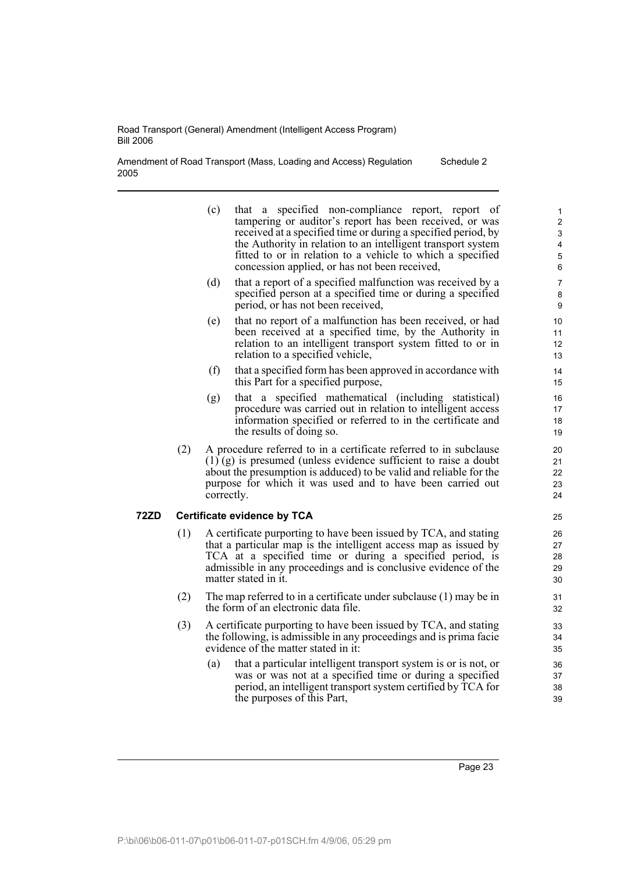Amendment of Road Transport (Mass, Loading and Access) Regulation 2005 Schedule 2

| (c)<br>concession applied, or has not been received,<br>(d)<br>period, or has not been received,<br>(e)<br>relation to a specified vehicle,<br>(f)<br>this Part for a specified purpose,<br>(g)<br>the results of doing so.<br>A procedure referred to in a certificate referred to in subclause<br>(2)<br>$(1)$ (g) is presumed (unless evidence sufficient to raise a doubt<br>about the presumption is adduced) to be valid and reliable for the<br>purpose for which it was used and to have been carried out<br>correctly.<br>72ZD<br><b>Certificate evidence by TCA</b><br>(1)<br>matter stated in it.<br>(2)<br>The map referred to in a certificate under subclause $(1)$ may be in<br>the form of an electronic data file. |                                                                                                                                                                                                                                                                                                             |                                                 |  |  |  |  |
|-------------------------------------------------------------------------------------------------------------------------------------------------------------------------------------------------------------------------------------------------------------------------------------------------------------------------------------------------------------------------------------------------------------------------------------------------------------------------------------------------------------------------------------------------------------------------------------------------------------------------------------------------------------------------------------------------------------------------------------|-------------------------------------------------------------------------------------------------------------------------------------------------------------------------------------------------------------------------------------------------------------------------------------------------------------|-------------------------------------------------|--|--|--|--|
|                                                                                                                                                                                                                                                                                                                                                                                                                                                                                                                                                                                                                                                                                                                                     | that a specified non-compliance report, report of<br>tampering or auditor's report has been received, or was<br>received at a specified time or during a specified period, by<br>the Authority in relation to an intelligent transport system<br>fitted to or in relation to a vehicle to which a specified | $\mathbf{1}$<br>2<br>3<br>4<br>$\mathbf 5$<br>6 |  |  |  |  |
|                                                                                                                                                                                                                                                                                                                                                                                                                                                                                                                                                                                                                                                                                                                                     | that a report of a specified malfunction was received by a<br>specified person at a specified time or during a specified                                                                                                                                                                                    | 7<br>8<br>9                                     |  |  |  |  |
|                                                                                                                                                                                                                                                                                                                                                                                                                                                                                                                                                                                                                                                                                                                                     | that no report of a malfunction has been received, or had<br>been received at a specified time, by the Authority in<br>relation to an intelligent transport system fitted to or in                                                                                                                          | 10<br>11<br>12<br>13                            |  |  |  |  |
|                                                                                                                                                                                                                                                                                                                                                                                                                                                                                                                                                                                                                                                                                                                                     | that a specified form has been approved in accordance with                                                                                                                                                                                                                                                  | 14<br>15                                        |  |  |  |  |
|                                                                                                                                                                                                                                                                                                                                                                                                                                                                                                                                                                                                                                                                                                                                     | that a specified mathematical (including statistical)<br>procedure was carried out in relation to intelligent access<br>information specified or referred to in the certificate and                                                                                                                         | 16<br>17<br>18<br>19                            |  |  |  |  |
|                                                                                                                                                                                                                                                                                                                                                                                                                                                                                                                                                                                                                                                                                                                                     |                                                                                                                                                                                                                                                                                                             | 20<br>21<br>22<br>23<br>24                      |  |  |  |  |
|                                                                                                                                                                                                                                                                                                                                                                                                                                                                                                                                                                                                                                                                                                                                     |                                                                                                                                                                                                                                                                                                             |                                                 |  |  |  |  |
|                                                                                                                                                                                                                                                                                                                                                                                                                                                                                                                                                                                                                                                                                                                                     | A certificate purporting to have been issued by TCA, and stating<br>that a particular map is the intelligent access map as issued by<br>TCA at a specified time or during a specified period, is<br>admissible in any proceedings and is conclusive evidence of the                                         |                                                 |  |  |  |  |
|                                                                                                                                                                                                                                                                                                                                                                                                                                                                                                                                                                                                                                                                                                                                     |                                                                                                                                                                                                                                                                                                             | 31<br>32                                        |  |  |  |  |
| (3)<br>A certificate purporting to have been issued by TCA, and stating<br>the following, is admissible in any proceedings and is prima facie<br>evidence of the matter stated in it:<br>(a)                                                                                                                                                                                                                                                                                                                                                                                                                                                                                                                                        | that a particular intelligent transport system is or is not, or<br>was or was not at a specified time or during a specified                                                                                                                                                                                 | 33<br>34<br>35<br>36<br>37                      |  |  |  |  |
|                                                                                                                                                                                                                                                                                                                                                                                                                                                                                                                                                                                                                                                                                                                                     | period, an intelligent transport system certified by TCA for                                                                                                                                                                                                                                                | 38                                              |  |  |  |  |

Page 23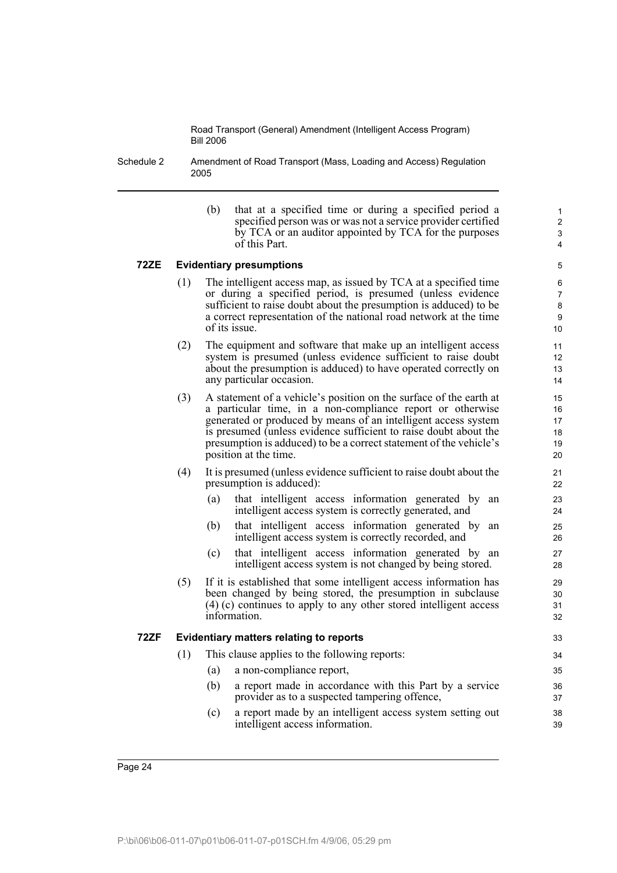Schedule 2 Amendment of Road Transport (Mass, Loading and Access) Regulation 2005

> (b) that at a specified time or during a specified period a specified person was or was not a service provider certified by TCA or an auditor appointed by TCA for the purposes of this Part.

### **72ZE Evidentiary presumptions**

- (1) The intelligent access map, as issued by TCA at a specified time or during a specified period, is presumed (unless evidence sufficient to raise doubt about the presumption is adduced) to be a correct representation of the national road network at the time of its issue.
- (2) The equipment and software that make up an intelligent access system is presumed (unless evidence sufficient to raise doubt about the presumption is adduced) to have operated correctly on any particular occasion.
- (3) A statement of a vehicle's position on the surface of the earth at a particular time, in a non-compliance report or otherwise generated or produced by means of an intelligent access system is presumed (unless evidence sufficient to raise doubt about the presumption is adduced) to be a correct statement of the vehicle's position at the time.
- (4) It is presumed (unless evidence sufficient to raise doubt about the presumption is adduced):
	- (a) that intelligent access information generated by an intelligent access system is correctly generated, and
	- (b) that intelligent access information generated by an intelligent access system is correctly recorded, and
	- (c) that intelligent access information generated by an intelligent access system is not changed by being stored.
- (5) If it is established that some intelligent access information has been changed by being stored, the presumption in subclause (4) (c) continues to apply to any other stored intelligent access information.

#### **72ZF Evidentiary matters relating to reports**

- (1) This clause applies to the following reports:
	- (a) a non-compliance report,
	- (b) a report made in accordance with this Part by a service provider as to a suspected tampering offence,
	- (c) a report made by an intelligent access system setting out intelligent access information.